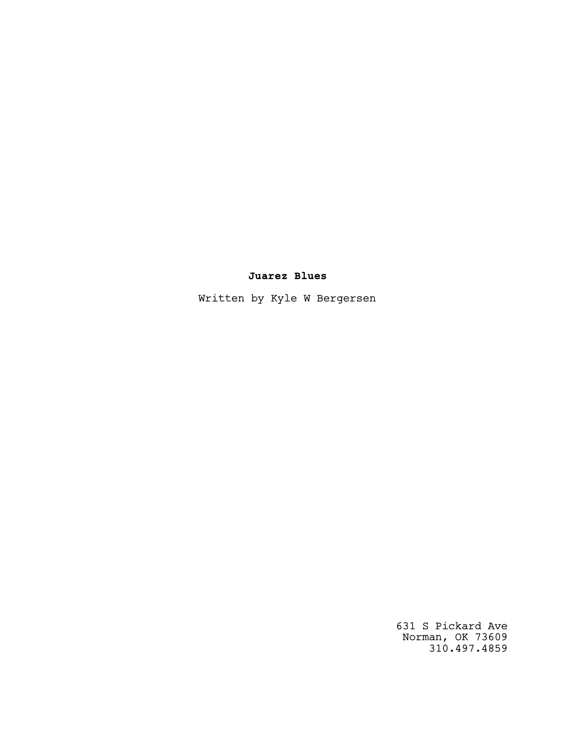# **Juarez Blues**

Written by Kyle W Bergersen

 631 S Pickard Ave Norman, OK 73609 310.497.4859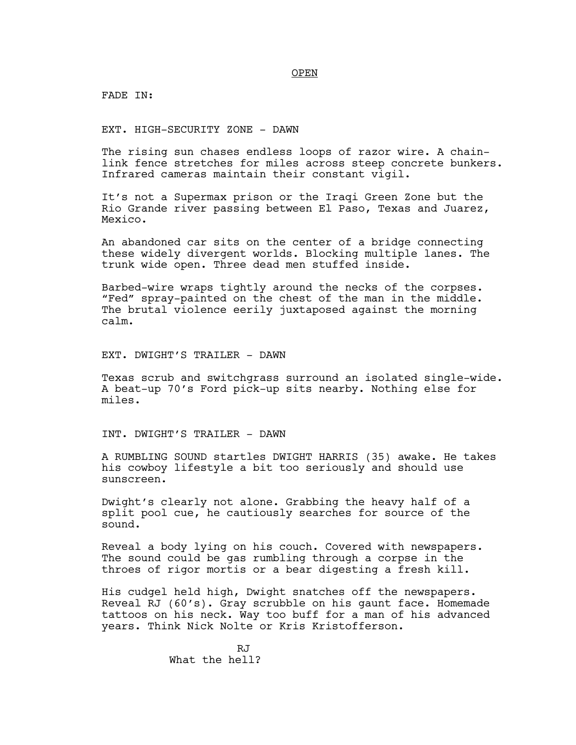OPEN

FADE IN:

EXT. HIGH-SECURITY ZONE - DAWN

The rising sun chases endless loops of razor wire. A chainlink fence stretches for miles across steep concrete bunkers. Infrared cameras maintain their constant vigil.

It's not a Supermax prison or the Iraqi Green Zone but the Rio Grande river passing between El Paso, Texas and Juarez, Mexico.

An abandoned car sits on the center of a bridge connecting these widely divergent worlds. Blocking multiple lanes. The trunk wide open. Three dead men stuffed inside.

Barbed-wire wraps tightly around the necks of the corpses. "Fed" spray-painted on the chest of the man in the middle. The brutal violence eerily juxtaposed against the morning calm.

EXT. DWIGHT'S TRAILER - DAWN

Texas scrub and switchgrass surround an isolated single-wide. A beat-up 70's Ford pick-up sits nearby. Nothing else for miles.

INT. DWIGHT'S TRAILER - DAWN

A RUMBLING SOUND startles DWIGHT HARRIS (35) awake. He takes his cowboy lifestyle a bit too seriously and should use sunscreen.

Dwight's clearly not alone. Grabbing the heavy half of a split pool cue, he cautiously searches for source of the sound.

Reveal a body lying on his couch. Covered with newspapers. The sound could be gas rumbling through a corpse in the throes of rigor mortis or a bear digesting a fresh kill.

His cudgel held high, Dwight snatches off the newspapers. Reveal RJ (60's). Gray scrubble on his gaunt face. Homemade tattoos on his neck. Way too buff for a man of his advanced years. Think Nick Nolte or Kris Kristofferson.

> R.T What the hell?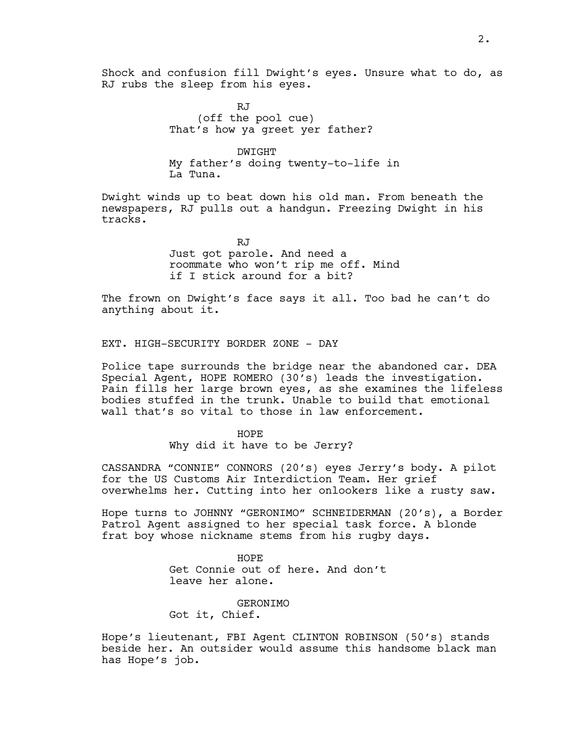Shock and confusion fill Dwight's eyes. Unsure what to do, as RJ rubs the sleep from his eyes.

> RJ (off the pool cue) That's how ya greet yer father?

DWIGHT My father's doing twenty-to-life in La Tuna.

Dwight winds up to beat down his old man. From beneath the newspapers, RJ pulls out a handgun. Freezing Dwight in his tracks.

> RJ Just got parole. And need a roommate who won't rip me off. Mind if I stick around for a bit?

The frown on Dwight's face says it all. Too bad he can't do anything about it.

EXT. HIGH-SECURITY BORDER ZONE - DAY

Police tape surrounds the bridge near the abandoned car. DEA Special Agent, HOPE ROMERO (30's) leads the investigation. Pain fills her large brown eyes, as she examines the lifeless bodies stuffed in the trunk. Unable to build that emotional wall that's so vital to those in law enforcement.

HOPE

Why did it have to be Jerry?

CASSANDRA "CONNIE" CONNORS (20's) eyes Jerry's body. A pilot for the US Customs Air Interdiction Team. Her grief overwhelms her. Cutting into her onlookers like a rusty saw.

Hope turns to JOHNNY "GERONIMO" SCHNEIDERMAN (20's), a Border Patrol Agent assigned to her special task force. A blonde frat boy whose nickname stems from his rugby days.

> HOPE Get Connie out of here. And don't leave her alone.

GERONIMO Got it, Chief.

Hope's lieutenant, FBI Agent CLINTON ROBINSON (50's) stands beside her. An outsider would assume this handsome black man has Hope's job.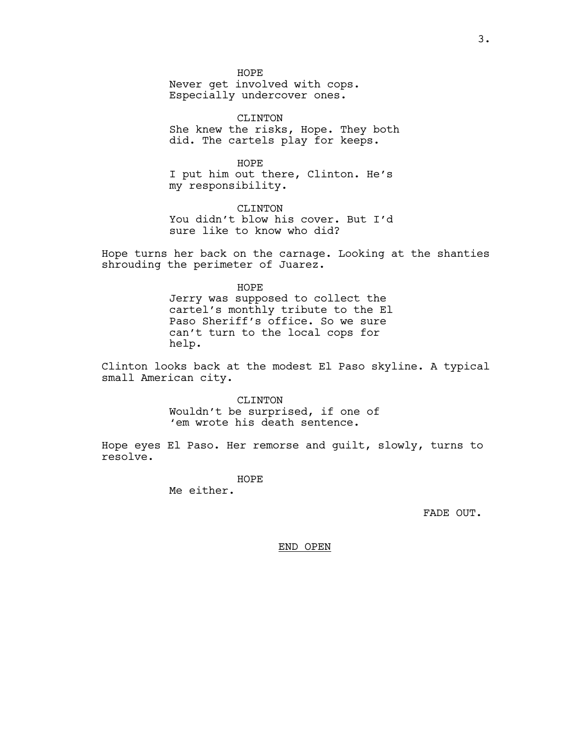HOPE Never get involved with cops. Especially undercover ones.

CLINTON She knew the risks, Hope. They both did. The cartels play for keeps.

HOPE I put him out there, Clinton. He's my responsibility.

CLINTON You didn't blow his cover. But I'd sure like to know who did?

Hope turns her back on the carnage. Looking at the shanties shrouding the perimeter of Juarez.

> HOPE Jerry was supposed to collect the cartel's monthly tribute to the El Paso Sheriff's office. So we sure can't turn to the local cops for help.

Clinton looks back at the modest El Paso skyline. A typical small American city.

> CLINTON Wouldn't be surprised, if one of 'em wrote his death sentence.

Hope eyes El Paso. Her remorse and guilt, slowly, turns to resolve.

> HOPE Me either.

> > FADE OUT.

END OPEN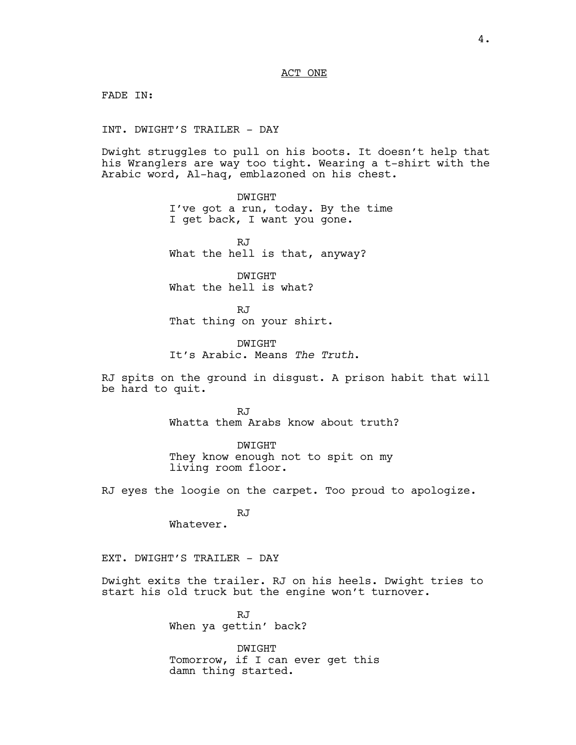ACT ONE

FADE IN:

INT. DWIGHT'S TRAILER - DAY

Dwight struggles to pull on his boots. It doesn't help that his Wranglers are way too tight. Wearing a t-shirt with the Arabic word, Al-haq, emblazoned on his chest.

> DWIGHT I've got a run, today. By the time I get back, I want you gone.

RJ What the hell is that, anyway?

DWIGHT What the hell is what?

RJ That thing on your shirt.

DWIGHT It's Arabic. Means *The Truth*.

RJ spits on the ground in disgust. A prison habit that will be hard to quit.

> RJ Whatta them Arabs know about truth?

DWIGHT They know enough not to spit on my living room floor.

RJ eyes the loogie on the carpet. Too proud to apologize.

RJ

Whatever.

EXT. DWIGHT'S TRAILER - DAY

Dwight exits the trailer. RJ on his heels. Dwight tries to start his old truck but the engine won't turnover.

> RJ When ya gettin' back?

DWIGHT Tomorrow, if I can ever get this damn thing started.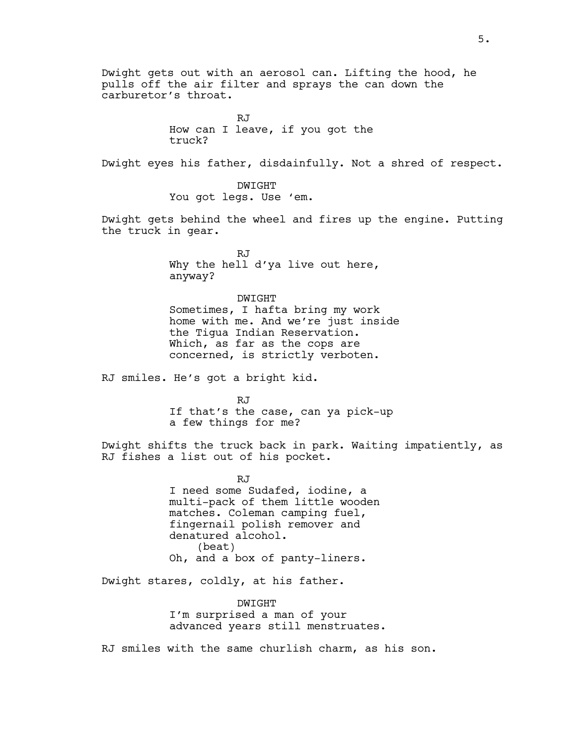Dwight gets out with an aerosol can. Lifting the hood, he pulls off the air filter and sprays the can down the carburetor's throat. RJ How can I leave, if you got the truck? Dwight eyes his father, disdainfully. Not a shred of respect. DWIGHT You got legs. Use 'em. Dwight gets behind the wheel and fires up the engine. Putting the truck in gear. RJ Why the hell d'ya live out here, anyway? DWIGHT Sometimes, I hafta bring my work home with me. And we're just inside the Tigua Indian Reservation. Which, as far as the cops are concerned, is strictly verboten. RJ smiles. He's got a bright kid. RJ If that's the case, can ya pick-up a few things for me? Dwight shifts the truck back in park. Waiting impatiently, as RJ fishes a list out of his pocket. RJ I need some Sudafed, iodine, a multi-pack of them little wooden matches. Coleman camping fuel, fingernail polish remover and denatured alcohol. (beat) Oh, and a box of panty-liners. Dwight stares, coldly, at his father. DWIGHT

I'm surprised a man of your advanced years still menstruates.

RJ smiles with the same churlish charm, as his son.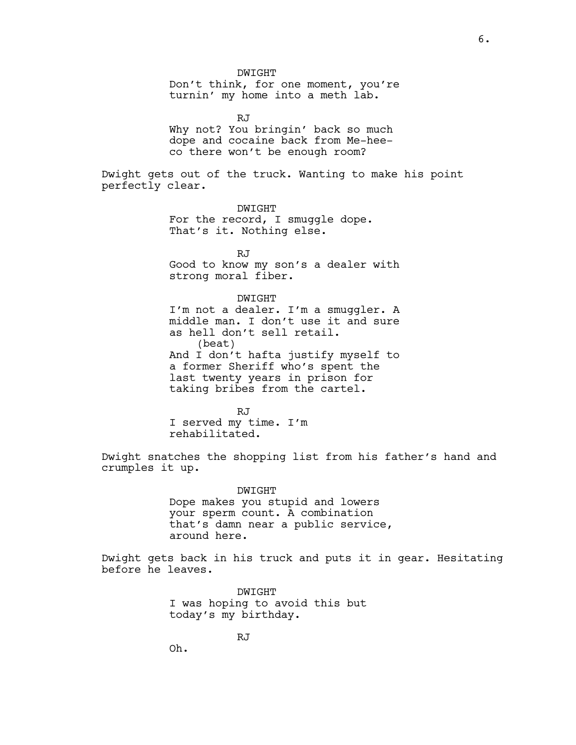DWIGHT Don't think, for one moment, you're turnin' my home into a meth lab.

RJ Why not? You bringin' back so much dope and cocaine back from Me-heeco there won't be enough room?

Dwight gets out of the truck. Wanting to make his point perfectly clear.

> DWIGHT For the record, I smuggle dope. That's it. Nothing else.

RJ Good to know my son's a dealer with strong moral fiber.

DWIGHT

I'm not a dealer. I'm a smuggler. A middle man. I don't use it and sure as hell don't sell retail. (beat) And I don't hafta justify myself to a former Sheriff who's spent the last twenty years in prison for taking bribes from the cartel.

RJ I served my time. I'm rehabilitated.

Dwight snatches the shopping list from his father's hand and crumples it up.

> DWIGHT Dope makes you stupid and lowers your sperm count. A combination that's damn near a public service, around here.

Dwight gets back in his truck and puts it in gear. Hesitating before he leaves.

> DWIGHT I was hoping to avoid this but today's my birthday.

> > RJ

Oh.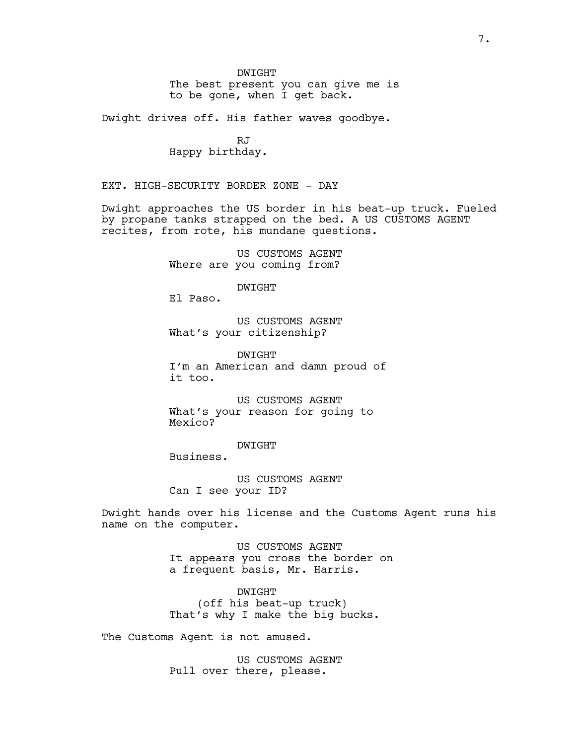DWIGHT

The best present you can give me is to be gone, when I get back.

Dwight drives off. His father waves goodbye.

RJ Happy birthday.

EXT. HIGH-SECURITY BORDER ZONE - DAY

Dwight approaches the US border in his beat-up truck. Fueled by propane tanks strapped on the bed. A US CUSTOMS AGENT recites, from rote, his mundane questions.

> US CUSTOMS AGENT Where are you coming from?

> > DWIGHT

El Paso.

US CUSTOMS AGENT What's your citizenship?

DWIGHT I'm an American and damn proud of it too.

US CUSTOMS AGENT What's your reason for going to Mexico?

DWIGHT

Business.

US CUSTOMS AGENT Can I see your ID?

Dwight hands over his license and the Customs Agent runs his name on the computer.

> US CUSTOMS AGENT It appears you cross the border on a frequent basis, Mr. Harris.

DWIGHT (off his beat-up truck) That's why I make the big bucks.

The Customs Agent is not amused.

US CUSTOMS AGENT Pull over there, please.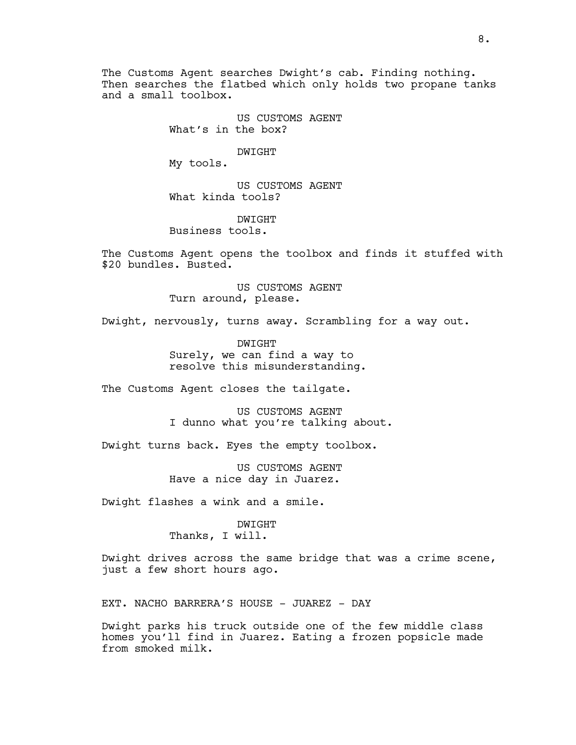The Customs Agent searches Dwight's cab. Finding nothing. Then searches the flatbed which only holds two propane tanks and a small toolbox.

> US CUSTOMS AGENT What's in the box?

> > DWIGHT

My tools.

US CUSTOMS AGENT What kinda tools?

DWIGHT Business tools.

The Customs Agent opens the toolbox and finds it stuffed with \$20 bundles. Busted.

> US CUSTOMS AGENT Turn around, please.

Dwight, nervously, turns away. Scrambling for a way out.

DWIGHT Surely, we can find a way to resolve this misunderstanding.

The Customs Agent closes the tailgate.

US CUSTOMS AGENT I dunno what you're talking about.

Dwight turns back. Eyes the empty toolbox.

US CUSTOMS AGENT Have a nice day in Juarez.

Dwight flashes a wink and a smile.

DWIGHT Thanks, I will.

Dwight drives across the same bridge that was a crime scene, just a few short hours ago.

EXT. NACHO BARRERA'S HOUSE - JUAREZ - DAY

Dwight parks his truck outside one of the few middle class homes you'll find in Juarez. Eating a frozen popsicle made from smoked milk.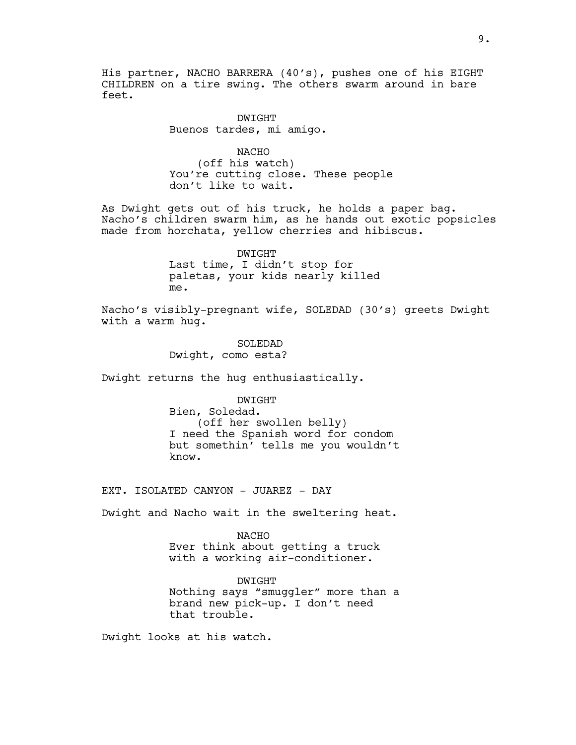His partner, NACHO BARRERA (40's), pushes one of his EIGHT CHILDREN on a tire swing. The others swarm around in bare feet.

> DWIGHT Buenos tardes, mi amigo.

NACHO (off his watch) You're cutting close. These people don't like to wait.

As Dwight gets out of his truck, he holds a paper bag. Nacho's children swarm him, as he hands out exotic popsicles made from horchata, yellow cherries and hibiscus.

> DWIGHT Last time, I didn't stop for paletas, your kids nearly killed me.

Nacho's visibly-pregnant wife, SOLEDAD (30's) greets Dwight with a warm hug.

> SOLEDAD Dwight, como esta?

Dwight returns the hug enthusiastically.

DWIGHT Bien, Soledad. (off her swollen belly) I need the Spanish word for condom but somethin' tells me you wouldn't know.

EXT. ISOLATED CANYON - JUAREZ - DAY

Dwight and Nacho wait in the sweltering heat.

NACHO Ever think about getting a truck with a working air-conditioner.

DWIGHT Nothing says "smuggler" more than a brand new pick-up. I don't need that trouble.

Dwight looks at his watch.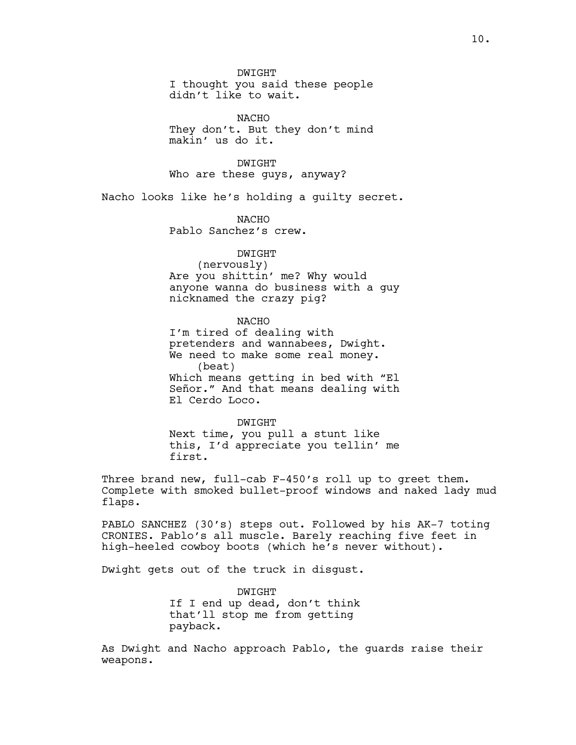DWIGHT I thought you said these people didn't like to wait.

NACHO They don't. But they don't mind makin' us do it.

DWIGHT Who are these guys, anyway?

Nacho looks like he's holding a guilty secret.

NACHO Pablo Sanchez's crew.

# DWIGHT

(nervously) Are you shittin' me? Why would anyone wanna do business with a guy nicknamed the crazy pig?

NACHO I'm tired of dealing with pretenders and wannabees, Dwight. We need to make some real money. (beat) Which means getting in bed with "El Señor." And that means dealing with El Cerdo Loco.

DWIGHT Next time, you pull a stunt like this, I'd appreciate you tellin' me first.

Three brand new, full-cab F-450's roll up to greet them. Complete with smoked bullet-proof windows and naked lady mud flaps.

PABLO SANCHEZ (30's) steps out. Followed by his AK-7 toting CRONIES. Pablo's all muscle. Barely reaching five feet in high-heeled cowboy boots (which he's never without).

Dwight gets out of the truck in disgust.

DWIGHT If I end up dead, don't think that'll stop me from getting payback.

As Dwight and Nacho approach Pablo, the guards raise their weapons.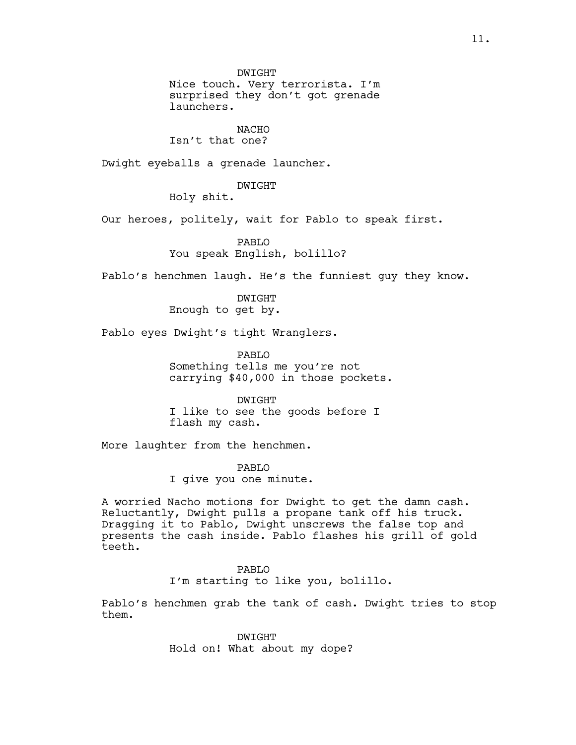DWIGHT Nice touch. Very terrorista. I'm surprised they don't got grenade launchers.

NACHO Isn't that one?

Dwight eyeballs a grenade launcher.

DWIGHT

Holy shit.

Our heroes, politely, wait for Pablo to speak first.

PABLO You speak English, bolillo?

Pablo's henchmen laugh. He's the funniest guy they know.

DWIGHT Enough to get by.

Pablo eyes Dwight's tight Wranglers.

PABLO Something tells me you're not carrying \$40,000 in those pockets.

DWIGHT I like to see the goods before I flash my cash.

More laughter from the henchmen.

PABLO I give you one minute.

A worried Nacho motions for Dwight to get the damn cash. Reluctantly, Dwight pulls a propane tank off his truck. Dragging it to Pablo, Dwight unscrews the false top and presents the cash inside. Pablo flashes his grill of gold teeth.

# PABLO

I'm starting to like you, bolillo.

Pablo's henchmen grab the tank of cash. Dwight tries to stop them.

> DWIGHT Hold on! What about my dope?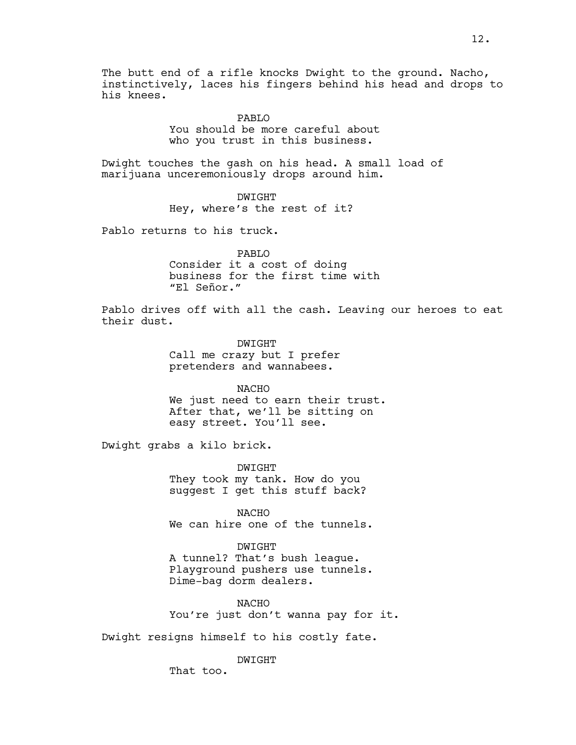The butt end of a rifle knocks Dwight to the ground. Nacho, instinctively, laces his fingers behind his head and drops to his knees.

> PABLO You should be more careful about who you trust in this business.

Dwight touches the gash on his head. A small load of marijuana unceremoniously drops around him.

> DWIGHT Hey, where's the rest of it?

Pablo returns to his truck.

PABLO Consider it a cost of doing business for the first time with "El Señor."

Pablo drives off with all the cash. Leaving our heroes to eat their dust.

> DWIGHT Call me crazy but I prefer pretenders and wannabees.

NACHO We just need to earn their trust. After that, we'll be sitting on easy street. You'll see.

Dwight grabs a kilo brick.

DWIGHT They took my tank. How do you suggest I get this stuff back?

NACHO We can hire one of the tunnels.

DWIGHT A tunnel? That's bush league. Playground pushers use tunnels. Dime-bag dorm dealers.

NACHO You're just don't wanna pay for it.

Dwight resigns himself to his costly fate.

DWIGHT

That too.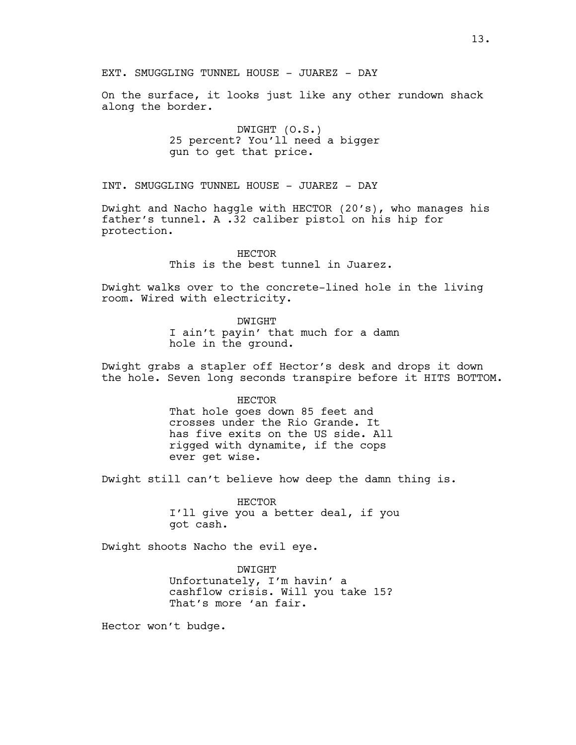On the surface, it looks just like any other rundown shack along the border.

> DWIGHT (O.S.) 25 percent? You'll need a bigger gun to get that price.

INT. SMUGGLING TUNNEL HOUSE - JUAREZ - DAY

Dwight and Nacho haggle with HECTOR (20's), who manages his father's tunnel. A .32 caliber pistol on his hip for protection.

> HECTOR This is the best tunnel in Juarez.

Dwight walks over to the concrete-lined hole in the living room. Wired with electricity.

> DWIGHT I ain't payin' that much for a damn hole in the ground.

Dwight grabs a stapler off Hector's desk and drops it down the hole. Seven long seconds transpire before it HITS BOTTOM.

HECTOR

That hole goes down 85 feet and crosses under the Rio Grande. It has five exits on the US side. All rigged with dynamite, if the cops ever get wise.

Dwight still can't believe how deep the damn thing is.

HECTOR I'll give you a better deal, if you got cash.

Dwight shoots Nacho the evil eye.

DWIGHT Unfortunately, I'm havin' a cashflow crisis. Will you take 15? That's more 'an fair.

Hector won't budge.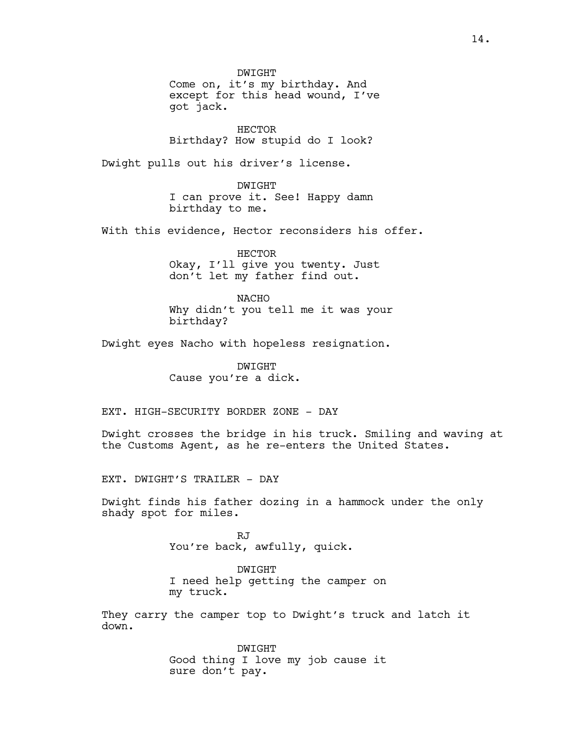DWIGHT Come on, it's my birthday. And except for this head wound, I've got jack.

HECTOR Birthday? How stupid do I look?

Dwight pulls out his driver's license.

DWIGHT I can prove it. See! Happy damn birthday to me.

With this evidence, Hector reconsiders his offer.

HECTOR Okay, I'll give you twenty. Just don't let my father find out.

NACHO Why didn't you tell me it was your birthday?

Dwight eyes Nacho with hopeless resignation.

DWIGHT Cause you're a dick.

EXT. HIGH-SECURITY BORDER ZONE - DAY

Dwight crosses the bridge in his truck. Smiling and waving at the Customs Agent, as he re-enters the United States.

EXT. DWIGHT'S TRAILER - DAY

Dwight finds his father dozing in a hammock under the only shady spot for miles.

> RJ You're back, awfully, quick.

DWIGHT I need help getting the camper on my truck.

They carry the camper top to Dwight's truck and latch it down.

> DWIGHT Good thing I love my job cause it sure don't pay.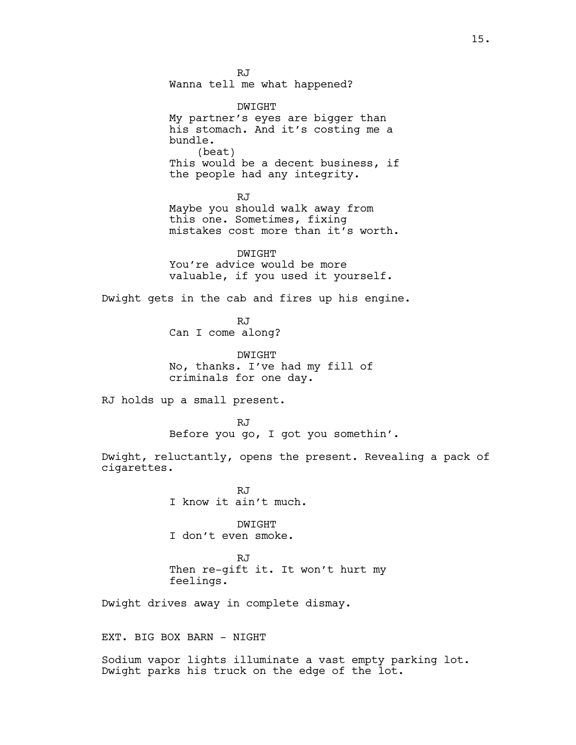RJ Wanna tell me what happened?

DWIGHT My partner's eyes are bigger than his stomach. And it's costing me a bundle. (beat) This would be a decent business, if the people had any integrity.

RJ Maybe you should walk away from this one. Sometimes, fixing mistakes cost more than it's worth.

DWIGHT You're advice would be more valuable, if you used it yourself.

Dwight gets in the cab and fires up his engine.

RJ Can I come along?

DWIGHT No, thanks. I've had my fill of criminals for one day.

RJ holds up a small present.

RJ Before you go, I got you somethin'.

Dwight, reluctantly, opens the present. Revealing a pack of cigarettes.

> RJ I know it ain't much.

DWIGHT I don't even smoke.

RJ Then re-gift it. It won't hurt my feelings.

Dwight drives away in complete dismay.

EXT. BIG BOX BARN - NIGHT

Sodium vapor lights illuminate a vast empty parking lot. Dwight parks his truck on the edge of the lot.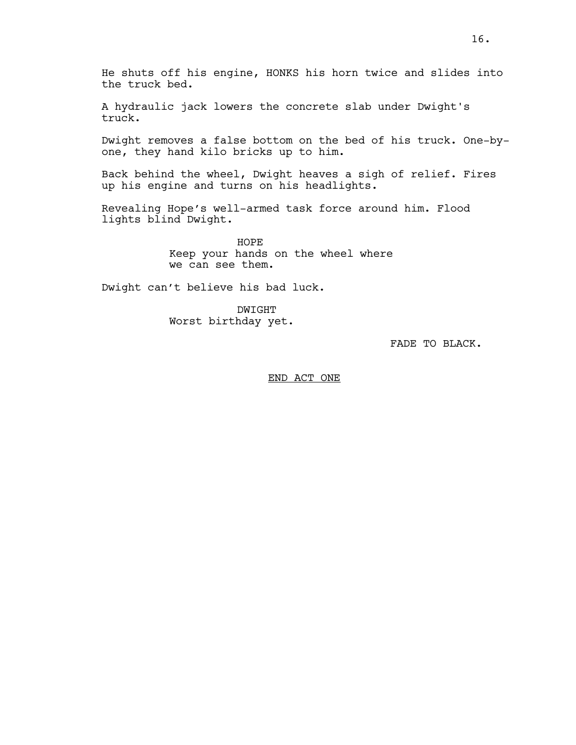He shuts off his engine, HONKS his horn twice and slides into the truck bed.

A hydraulic jack lowers the concrete slab under Dwight's truck.

Dwight removes a false bottom on the bed of his truck. One-byone, they hand kilo bricks up to him.

Back behind the wheel, Dwight heaves a sigh of relief. Fires up his engine and turns on his headlights.

Revealing Hope's well-armed task force around him. Flood lights blind Dwight.

> HOPE Keep your hands on the wheel where we can see them.

Dwight can't believe his bad luck.

DWIGHT Worst birthday yet.

FADE TO BLACK.

END ACT ONE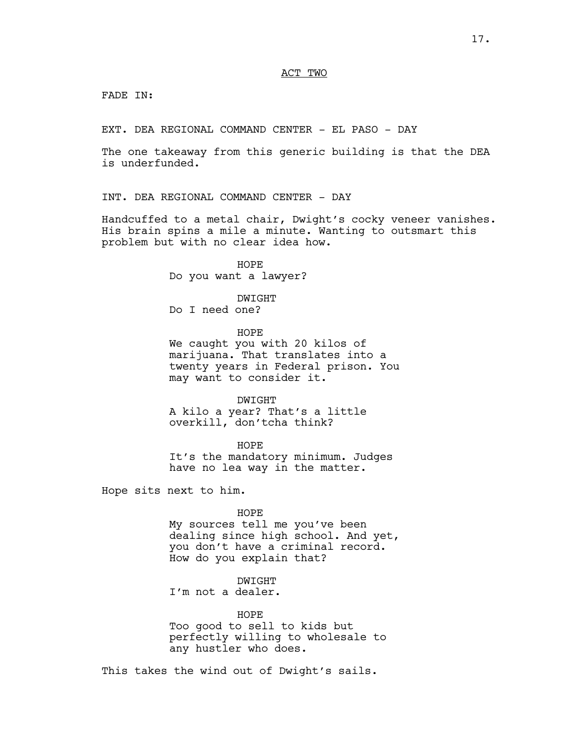FADE IN:

EXT. DEA REGIONAL COMMAND CENTER - EL PASO - DAY

The one takeaway from this generic building is that the DEA is underfunded.

INT. DEA REGIONAL COMMAND CENTER - DAY

Handcuffed to a metal chair, Dwight's cocky veneer vanishes. His brain spins a mile a minute. Wanting to outsmart this problem but with no clear idea how.

> HOPE Do you want a lawyer?

DWIGHT Do I need one?

HOPE We caught you with 20 kilos of marijuana. That translates into a twenty years in Federal prison. You may want to consider it.

DWIGHT A kilo a year? That's a little overkill, don'tcha think?

HOPE It's the mandatory minimum. Judges have no lea way in the matter.

Hope sits next to him.

#### HOPE

My sources tell me you've been dealing since high school. And yet, you don't have a criminal record. How do you explain that?

# DWIGHT

I'm not a dealer.

HOPE

Too good to sell to kids but perfectly willing to wholesale to any hustler who does.

This takes the wind out of Dwight's sails.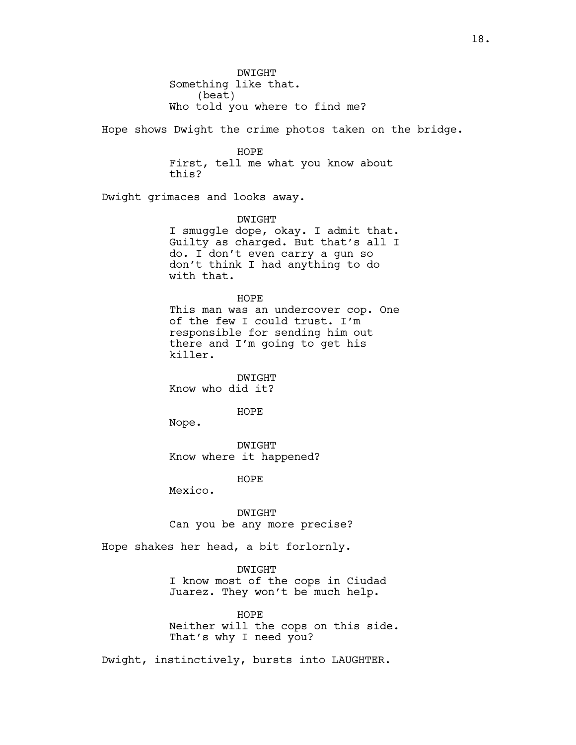DWIGHT Something like that. (beat) Who told you where to find me? Hope shows Dwight the crime photos taken on the bridge. HOPE First, tell me what you know about this? Dwight grimaces and looks away. DWIGHT I smuggle dope, okay. I admit that. Guilty as charged. But that's all I do. I don't even carry a gun so don't think I had anything to do with that. HOPE This man was an undercover cop. One of the few I could trust. I'm responsible for sending him out there and I'm going to get his killer. DWIGHT Know who did it? HOPE Nope. DWIGHT Know where it happened? HOPE Mexico. DWIGHT Can you be any more precise? Hope shakes her head, a bit forlornly. DWIGHT I know most of the cops in Ciudad Juarez. They won't be much help.

> HOPE Neither will the cops on this side. That's why I need you?

Dwight, instinctively, bursts into LAUGHTER.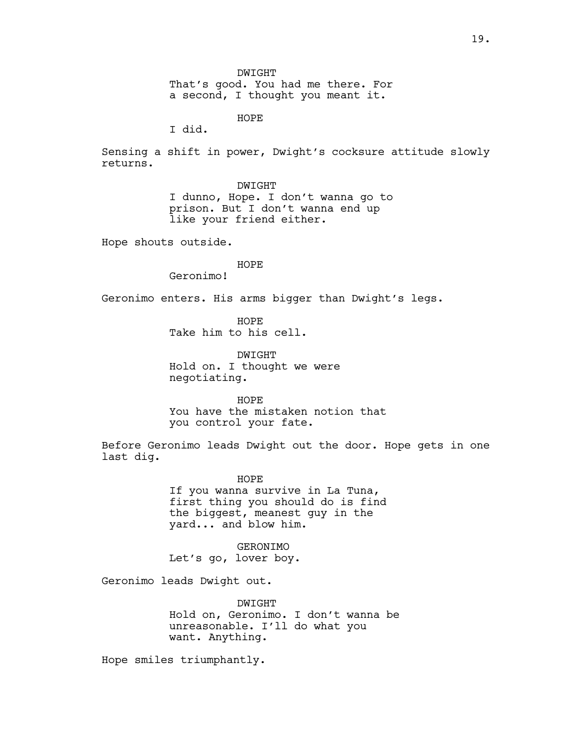DWIGHT That's good. You had me there. For a second, I thought you meant it.

HOPE

I did.

Sensing a shift in power, Dwight's cocksure attitude slowly returns.

### DWIGHT

I dunno, Hope. I don't wanna go to prison. But I don't wanna end up like your friend either.

Hope shouts outside.

# HOPE

Geronimo!

Geronimo enters. His arms bigger than Dwight's legs.

HOPE Take him to his cell.

DWIGHT Hold on. I thought we were negotiating.

HOPE You have the mistaken notion that you control your fate.

Before Geronimo leads Dwight out the door. Hope gets in one last dig.

HOPE

If you wanna survive in La Tuna, first thing you should do is find the biggest, meanest guy in the yard... and blow him.

GERONIMO Let's go, lover boy.

Geronimo leads Dwight out.

DWIGHT Hold on, Geronimo. I don't wanna be unreasonable. I'll do what you want. Anything.

Hope smiles triumphantly.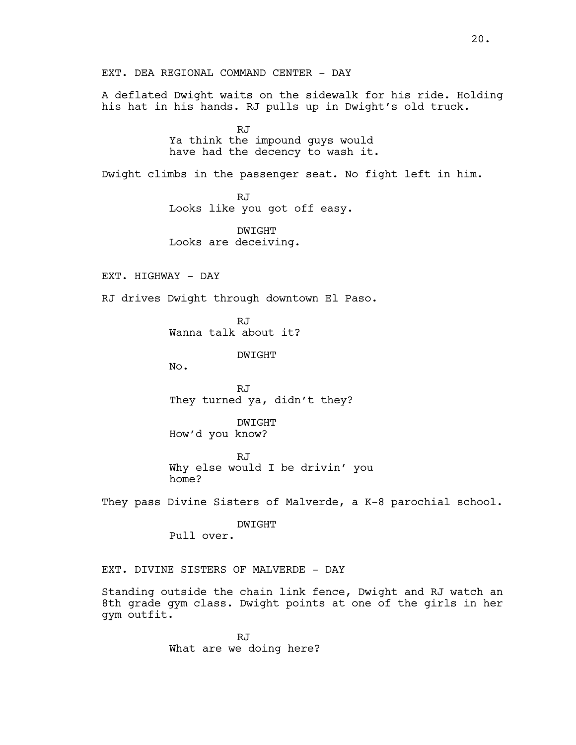EXT. DEA REGIONAL COMMAND CENTER - DAY

A deflated Dwight waits on the sidewalk for his ride. Holding his hat in his hands. RJ pulls up in Dwight's old truck.

> RJ Ya think the impound guys would have had the decency to wash it.

Dwight climbs in the passenger seat. No fight left in him.

RJ Looks like you got off easy.

DWIGHT Looks are deceiving.

EXT. HIGHWAY - DAY

RJ drives Dwight through downtown El Paso.

RJ Wanna talk about it?

DWIGHT

No.

RJ They turned ya, didn't they?

DWIGHT How'd you know?

RJ Why else would I be drivin' you home?

They pass Divine Sisters of Malverde, a K-8 parochial school.

DWIGHT Pull over.

EXT. DIVINE SISTERS OF MALVERDE - DAY

Standing outside the chain link fence, Dwight and RJ watch an 8th grade gym class. Dwight points at one of the girls in her gym outfit.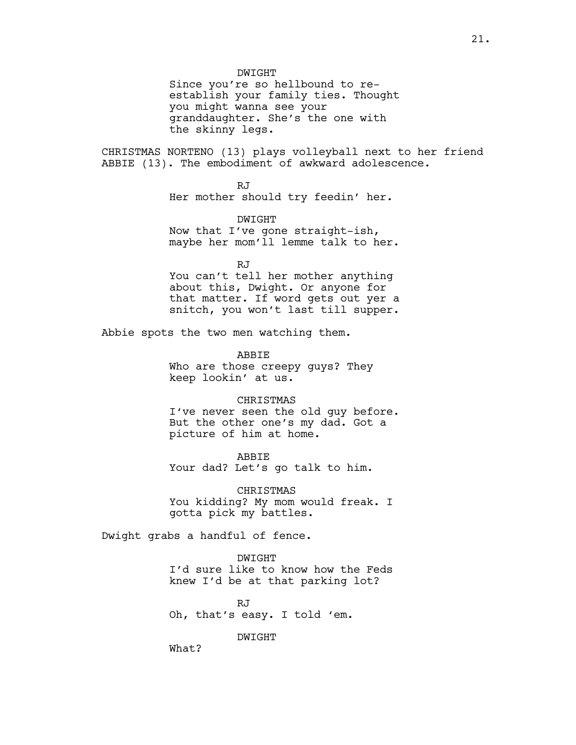DWIGHT

Since you're so hellbound to reestablish your family ties. Thought you might wanna see your granddaughter. She's the one with the skinny legs.

CHRISTMAS NORTENO (13) plays volleyball next to her friend ABBIE (13). The embodiment of awkward adolescence.

> RJ Her mother should try feedin' her.

DWIGHT Now that I've gone straight-ish, maybe her mom'll lemme talk to her.

RJ You can't tell her mother anything about this, Dwight. Or anyone for that matter. If word gets out yer a snitch, you won't last till supper.

Abbie spots the two men watching them.

ABBIE Who are those creepy guys? They keep lookin' at us.

#### **CHRISTMAS**

I've never seen the old guy before. But the other one's my dad. Got a picture of him at home.

ABBIE Your dad? Let's go talk to him.

CHRISTMAS You kidding? My mom would freak. I gotta pick my battles.

Dwight grabs a handful of fence.

DWIGHT I'd sure like to know how the Feds knew I'd be at that parking lot?

RJ Oh, that's easy. I told 'em.

DWIGHT

What?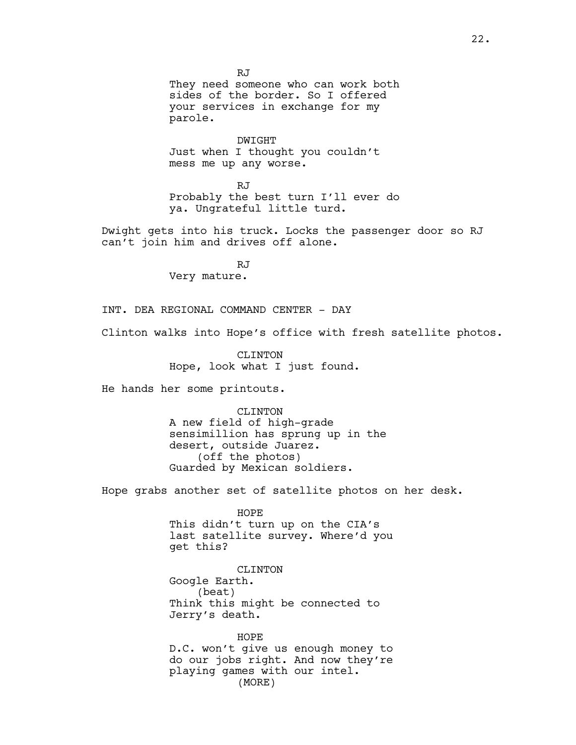RJ They need someone who can work both sides of the border. So I offered your services in exchange for my parole.

DWIGHT Just when I thought you couldn't mess me up any worse.

RJ Probably the best turn I'll ever do ya. Ungrateful little turd.

Dwight gets into his truck. Locks the passenger door so RJ can't join him and drives off alone.

> RJ Very mature.

INT. DEA REGIONAL COMMAND CENTER - DAY

Clinton walks into Hope's office with fresh satellite photos.

CLINTON Hope, look what I just found.

He hands her some printouts.

CLINTON A new field of high-grade sensimillion has sprung up in the desert, outside Juarez. (off the photos) Guarded by Mexican soldiers.

Hope grabs another set of satellite photos on her desk.

HOPE This didn't turn up on the CIA's last satellite survey. Where'd you get this?

CLINTON Google Earth. (beat) Think this might be connected to Jerry's death.

HOPE D.C. won't give us enough money to do our jobs right. And now they're playing games with our intel. (MORE)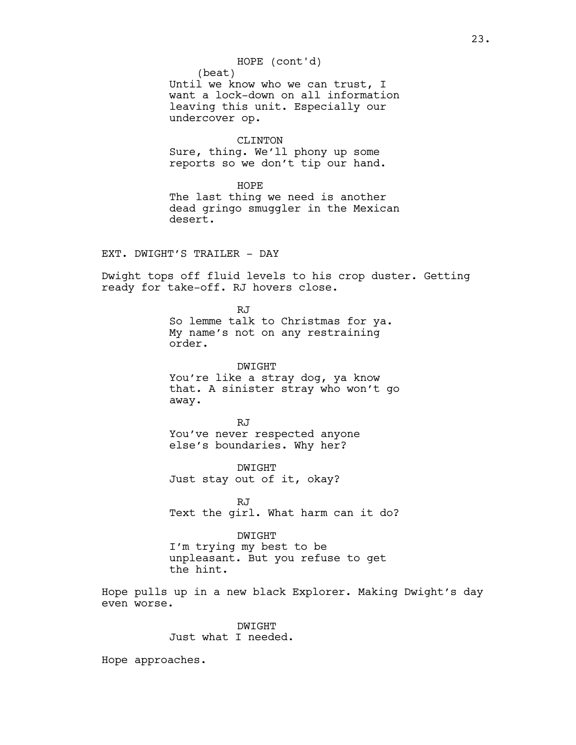(beat) Until we know who we can trust, I want a lock-down on all information leaving this unit. Especially our undercover op. CLINTON Sure, thing. We'll phony up some reports so we don't tip our hand. HOPE The last thing we need is another dead gringo smuggler in the Mexican desert. EXT. DWIGHT'S TRAILER - DAY Dwight tops off fluid levels to his crop duster. Getting ready for take-off. RJ hovers close. RJ So lemme talk to Christmas for ya. My name's not on any restraining order. DWIGHT You're like a stray dog, ya know that. A sinister stray who won't go away. RJ You've never respected anyone else's boundaries. Why her? DWIGHT Just stay out of it, okay? RJ Text the girl. What harm can it do? DWIGHT I'm trying my best to be unpleasant. But you refuse to get the hint. Hope pulls up in a new black Explorer. Making Dwight's day even worse. DWIGHT Just what I needed. HOPE (cont'd)

Hope approaches.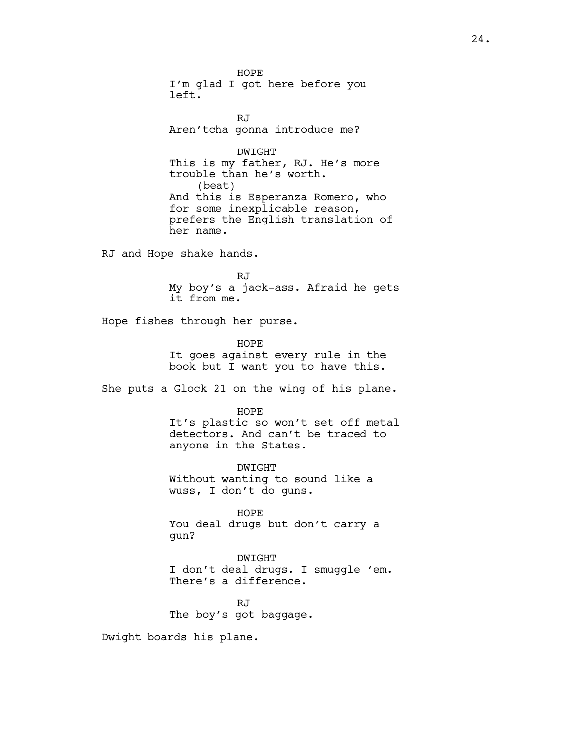HOPE I'm glad I got here before you left.

RJ Aren'tcha gonna introduce me?

DWIGHT This is my father, RJ. He's more trouble than he's worth. (beat) And this is Esperanza Romero, who for some inexplicable reason, prefers the English translation of her name.

RJ and Hope shake hands.

RJ My boy's a jack-ass. Afraid he gets it from me.

Hope fishes through her purse.

HOPE It goes against every rule in the book but I want you to have this.

She puts a Glock 21 on the wing of his plane.

HOPE It's plastic so won't set off metal detectors. And can't be traced to anyone in the States.

DWIGHT Without wanting to sound like a wuss, I don't do guns.

HOPE You deal drugs but don't carry a gun?

DWIGHT I don't deal drugs. I smuggle 'em. There's a difference.

RJ The boy's got baggage.

Dwight boards his plane.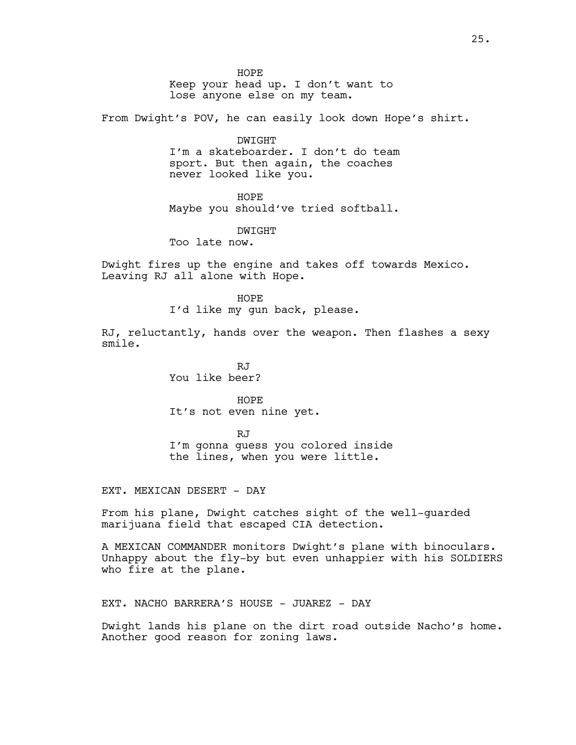HOPE

Keep your head up. I don't want to lose anyone else on my team.

From Dwight's POV, he can easily look down Hope's shirt.

DWIGHT

I'm a skateboarder. I don't do team sport. But then again, the coaches never looked like you.

HOPE

Maybe you should've tried softball.

DWIGHT

Too late now.

Dwight fires up the engine and takes off towards Mexico. Leaving RJ all alone with Hope.

> HOPE I'd like my gun back, please.

RJ, reluctantly, hands over the weapon. Then flashes a sexy smile.

> RJ You like beer?

HOPE It's not even nine yet.

RJ I'm gonna guess you colored inside the lines, when you were little.

EXT. MEXICAN DESERT - DAY

From his plane, Dwight catches sight of the well-guarded marijuana field that escaped CIA detection.

A MEXICAN COMMANDER monitors Dwight's plane with binoculars. Unhappy about the fly-by but even unhappier with his SOLDIERS who fire at the plane.

EXT. NACHO BARRERA'S HOUSE - JUAREZ - DAY

Dwight lands his plane on the dirt road outside Nacho's home. Another good reason for zoning laws.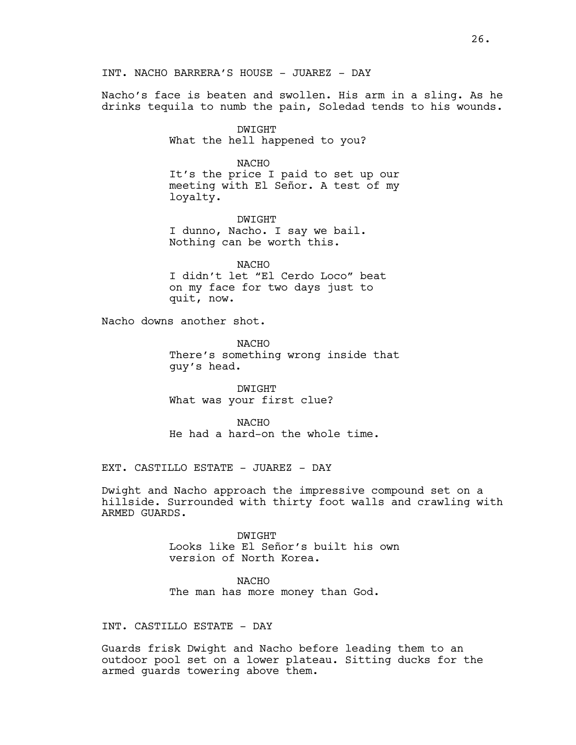INT. NACHO BARRERA'S HOUSE - JUAREZ - DAY

Nacho's face is beaten and swollen. His arm in a sling. As he drinks tequila to numb the pain, Soledad tends to his wounds.

> DWIGHT What the hell happened to you?

> > NACHO

It's the price I paid to set up our meeting with El Señor. A test of my loyalty.

DWIGHT I dunno, Nacho. I say we bail. Nothing can be worth this.

NACHO I didn't let "El Cerdo Loco" beat on my face for two days just to quit, now.

Nacho downs another shot.

NACHO There's something wrong inside that guy's head.

DWIGHT What was your first clue?

NACHO He had a hard-on the whole time.

EXT. CASTILLO ESTATE - JUAREZ - DAY

Dwight and Nacho approach the impressive compound set on a hillside. Surrounded with thirty foot walls and crawling with ARMED GUARDS.

> DWIGHT Looks like El Señor's built his own version of North Korea.

NACHO The man has more money than God.

# INT. CASTILLO ESTATE - DAY

Guards frisk Dwight and Nacho before leading them to an outdoor pool set on a lower plateau. Sitting ducks for the armed guards towering above them.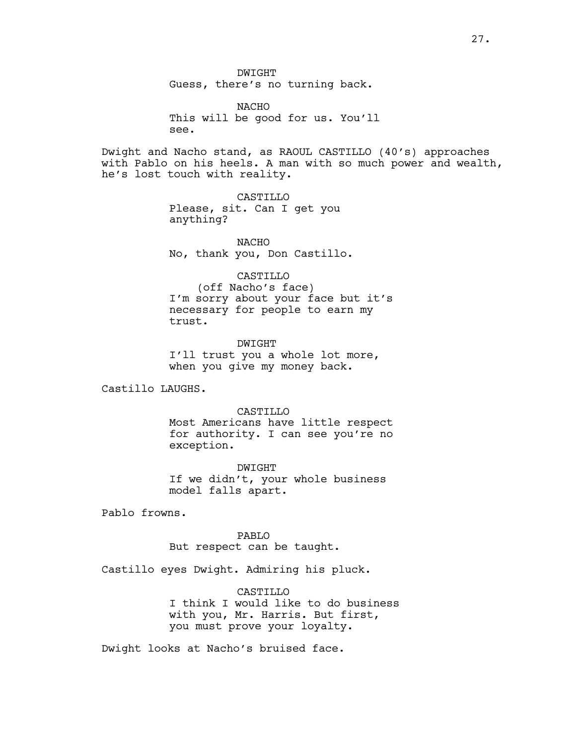NACHO This will be good for us. You'll see.

Dwight and Nacho stand, as RAOUL CASTILLO (40's) approaches with Pablo on his heels. A man with so much power and wealth, he's lost touch with reality.

> CASTILLO Please, sit. Can I get you anything?

NACHO No, thank you, Don Castillo.

CASTILLO

(off Nacho's face) I'm sorry about your face but it's necessary for people to earn my trust.

DWIGHT I'll trust you a whole lot more, when you give my money back.

Castillo LAUGHS.

CASTILLO Most Americans have little respect for authority. I can see you're no exception.

DWIGHT If we didn't, your whole business model falls apart.

Pablo frowns.

PABLO But respect can be taught.

Castillo eyes Dwight. Admiring his pluck.

**CASTILLO** I think I would like to do business with you, Mr. Harris. But first, you must prove your loyalty.

Dwight looks at Nacho's bruised face.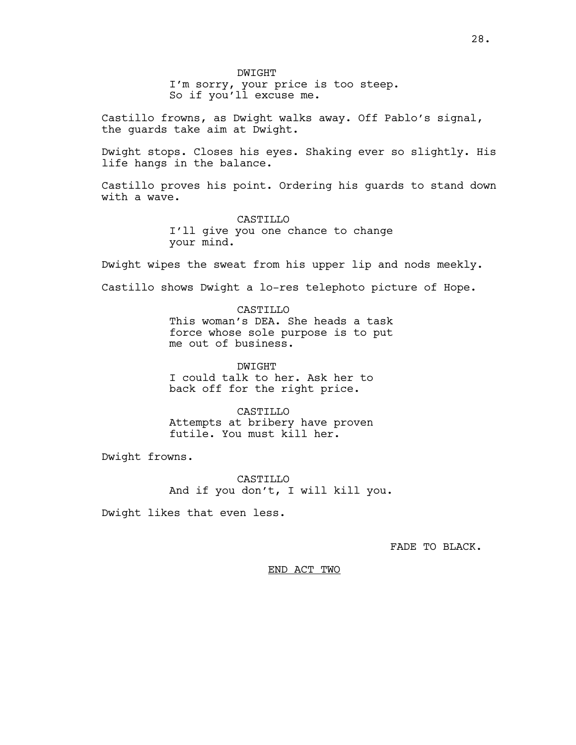DWIGHT I'm sorry, your price is too steep. So if you'll excuse me.

Castillo frowns, as Dwight walks away. Off Pablo's signal, the guards take aim at Dwight.

Dwight stops. Closes his eyes. Shaking ever so slightly. His life hangs in the balance.

Castillo proves his point. Ordering his guards to stand down with a wave.

> CASTILLO I'll give you one chance to change your mind.

Dwight wipes the sweat from his upper lip and nods meekly.

Castillo shows Dwight a lo-res telephoto picture of Hope.

CASTILLO This woman's DEA. She heads a task force whose sole purpose is to put me out of business.

DWIGHT I could talk to her. Ask her to back off for the right price.

CASTILLO Attempts at bribery have proven futile. You must kill her.

Dwight frowns.

CASTILLO And if you don't, I will kill you.

Dwight likes that even less.

FADE TO BLACK.

END ACT TWO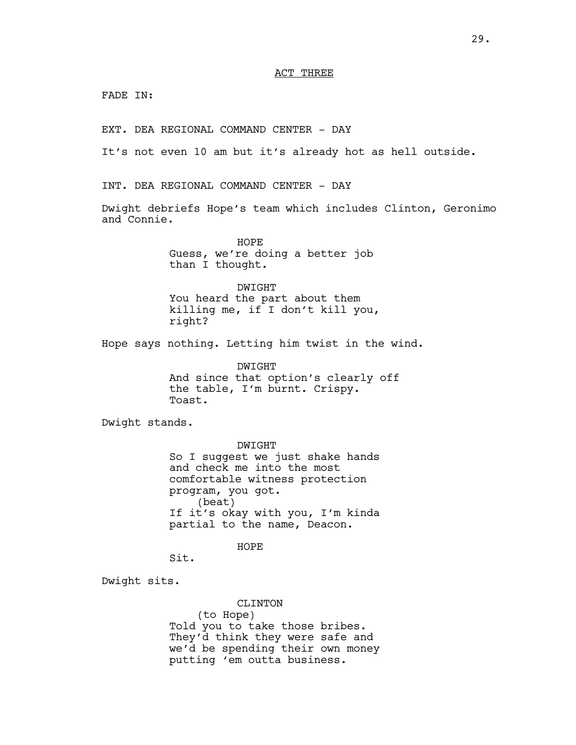### ACT THREE

FADE IN:

EXT. DEA REGIONAL COMMAND CENTER - DAY

It's not even 10 am but it's already hot as hell outside.

INT. DEA REGIONAL COMMAND CENTER - DAY

Dwight debriefs Hope's team which includes Clinton, Geronimo and Connie.

> HOPE Guess, we're doing a better job than I thought.

DWIGHT You heard the part about them killing me, if I don't kill you, right?

Hope says nothing. Letting him twist in the wind.

DWIGHT And since that option's clearly off the table, I'm burnt. Crispy. Toast.

Dwight stands.

DWIGHT So I suggest we just shake hands and check me into the most comfortable witness protection program, you got. (beat) If it's okay with you, I'm kinda partial to the name, Deacon.

HOPE

Sit.

Dwight sits.

CLINTON (to Hope) Told you to take those bribes. They'd think they were safe and we'd be spending their own money putting 'em outta business.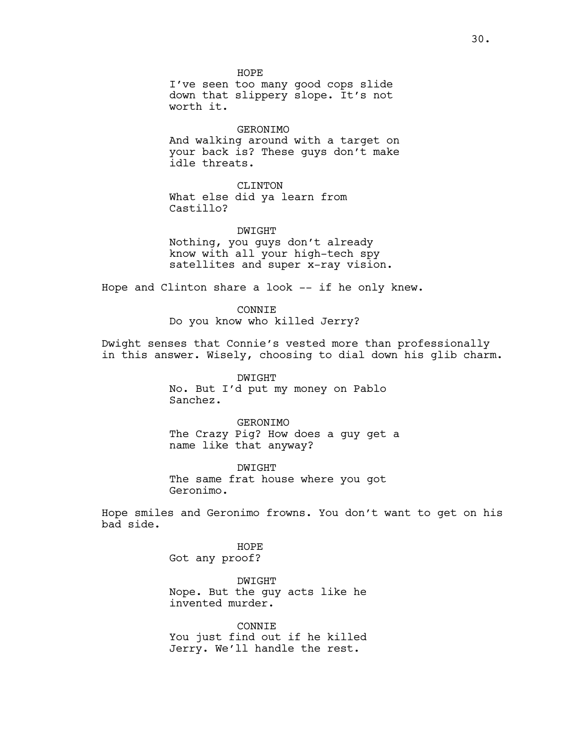HOPE I've seen too many good cops slide down that slippery slope. It's not worth it.

GERONIMO And walking around with a target on your back is? These guys don't make idle threats.

CLINTON What else did ya learn from Castillo?

DWIGHT Nothing, you guys don't already know with all your high-tech spy satellites and super x-ray vision.

Hope and Clinton share a look -- if he only knew.

CONNIE Do you know who killed Jerry?

Dwight senses that Connie's vested more than professionally in this answer. Wisely, choosing to dial down his glib charm.

> DWIGHT No. But I'd put my money on Pablo Sanchez.

GERONIMO The Crazy Pig? How does a guy get a name like that anyway?

DWIGHT The same frat house where you got Geronimo.

Hope smiles and Geronimo frowns. You don't want to get on his bad side.

> HOPE Got any proof?

DWIGHT Nope. But the guy acts like he invented murder.

CONNIE You just find out if he killed Jerry. We'll handle the rest.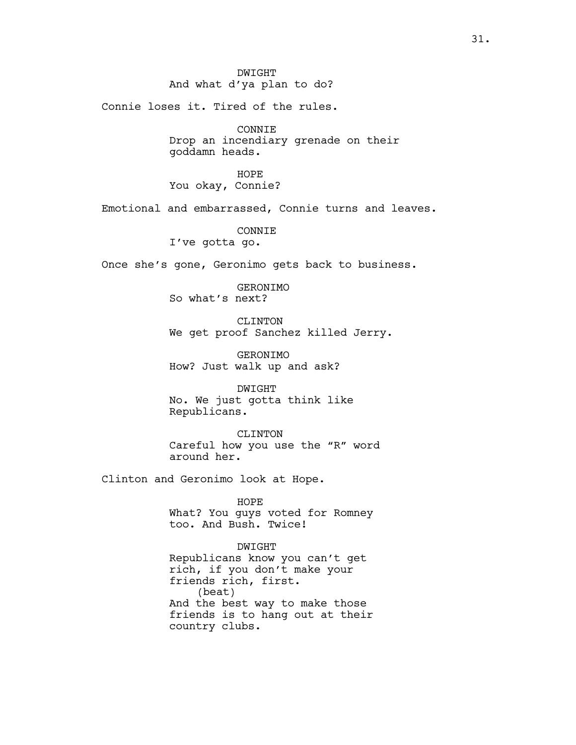# DWIGHT And what d'ya plan to do?

Connie loses it. Tired of the rules.

CONNIE Drop an incendiary grenade on their goddamn heads.

HOPE You okay, Connie?

Emotional and embarrassed, Connie turns and leaves.

CONNIE

I've gotta go.

Once she's gone, Geronimo gets back to business.

GERONIMO So what's next?

CLINTON We get proof Sanchez killed Jerry.

GERONIMO How? Just walk up and ask?

DWIGHT No. We just gotta think like Republicans.

CLINTON Careful how you use the "R" word around her.

Clinton and Geronimo look at Hope.

HOPE What? You guys voted for Romney too. And Bush. Twice!

DWIGHT Republicans know you can't get rich, if you don't make your friends rich, first. (beat) And the best way to make those friends is to hang out at their country clubs.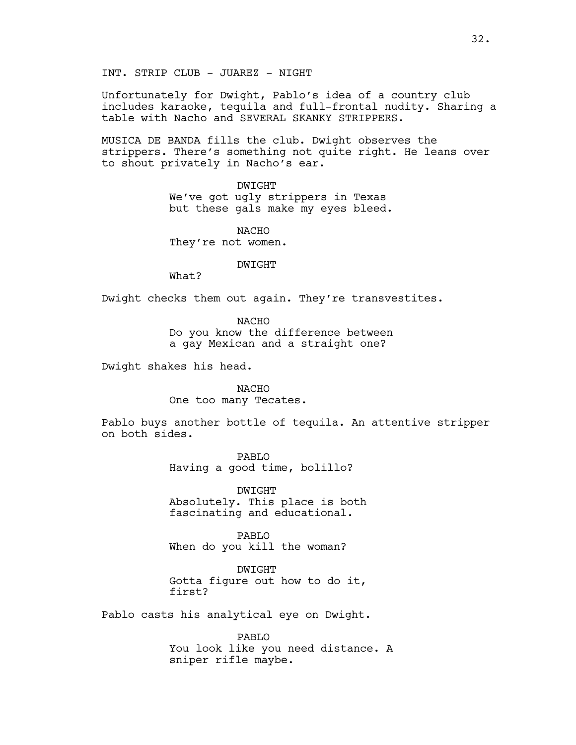Unfortunately for Dwight, Pablo's idea of a country club includes karaoke, tequila and full-frontal nudity. Sharing a table with Nacho and SEVERAL SKANKY STRIPPERS.

MUSICA DE BANDA fills the club. Dwight observes the strippers. There's something not quite right. He leans over to shout privately in Nacho's ear.

DWIGHT

We've got ugly strippers in Texas but these gals make my eyes bleed.

NACHO They're not women.

DWIGHT

What?

Dwight checks them out again. They're transvestites.

**NACHO** Do you know the difference between a gay Mexican and a straight one?

Dwight shakes his head.

NACHO One too many Tecates.

Pablo buys another bottle of tequila. An attentive stripper on both sides.

> PABLO Having a good time, bolillo?

DWIGHT Absolutely. This place is both fascinating and educational.

PABLO When do you kill the woman?

DWIGHT Gotta figure out how to do it, first?

Pablo casts his analytical eye on Dwight.

PABLO You look like you need distance. A sniper rifle maybe.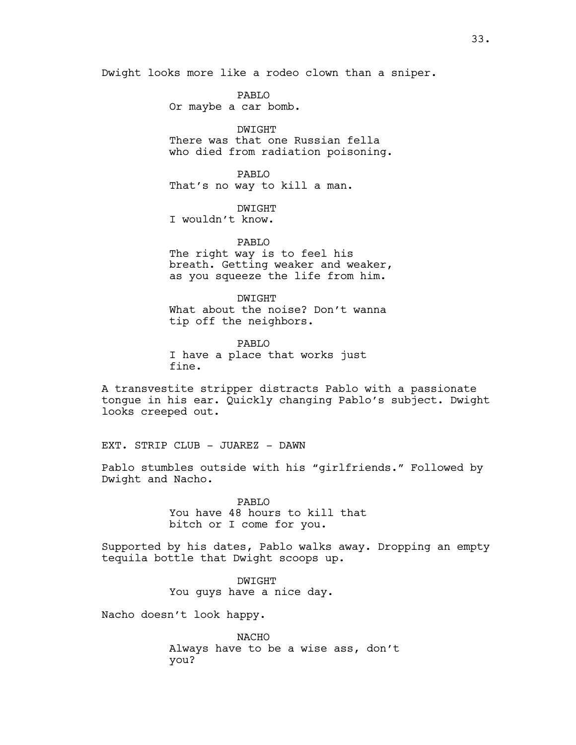Dwight looks more like a rodeo clown than a sniper.

PABLO Or maybe a car bomb.

DWIGHT There was that one Russian fella who died from radiation poisoning.

PABLO That's no way to kill a man.

DWIGHT

I wouldn't know.

PABLO The right way is to feel his breath. Getting weaker and weaker, as you squeeze the life from him.

DWIGHT What about the noise? Don't wanna tip off the neighbors.

PABLO I have a place that works just fine.

A transvestite stripper distracts Pablo with a passionate tongue in his ear. Quickly changing Pablo's subject. Dwight looks creeped out.

EXT. STRIP CLUB - JUAREZ - DAWN

Pablo stumbles outside with his "girlfriends." Followed by Dwight and Nacho.

> PABLO You have 48 hours to kill that bitch or I come for you.

Supported by his dates, Pablo walks away. Dropping an empty tequila bottle that Dwight scoops up.

> DWIGHT You guys have a nice day.

Nacho doesn't look happy.

NACHO Always have to be a wise ass, don't you?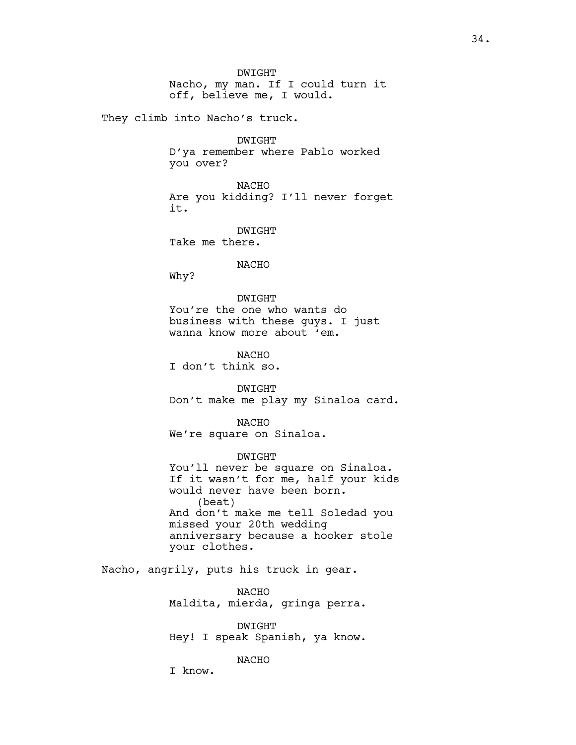DWIGHT Nacho, my man. If I could turn it off, believe me, I would.

They climb into Nacho's truck.

DWIGHT D'ya remember where Pablo worked you over?

NACHO Are you kidding? I'll never forget it.

DWIGHT Take me there.

NACHO

Why?

DWIGHT You're the one who wants do business with these guys. I just wanna know more about 'em.

NACHO I don't think so.

DWIGHT Don't make me play my Sinaloa card.

NACHO We're square on Sinaloa.

DWIGHT You'll never be square on Sinaloa. If it wasn't for me, half your kids would never have been born. (beat) And don't make me tell Soledad you missed your 20th wedding anniversary because a hooker stole your clothes.

Nacho, angrily, puts his truck in gear.

NACHO Maldita, mierda, gringa perra.

DWIGHT Hey! I speak Spanish, ya know.

NACHO

I know.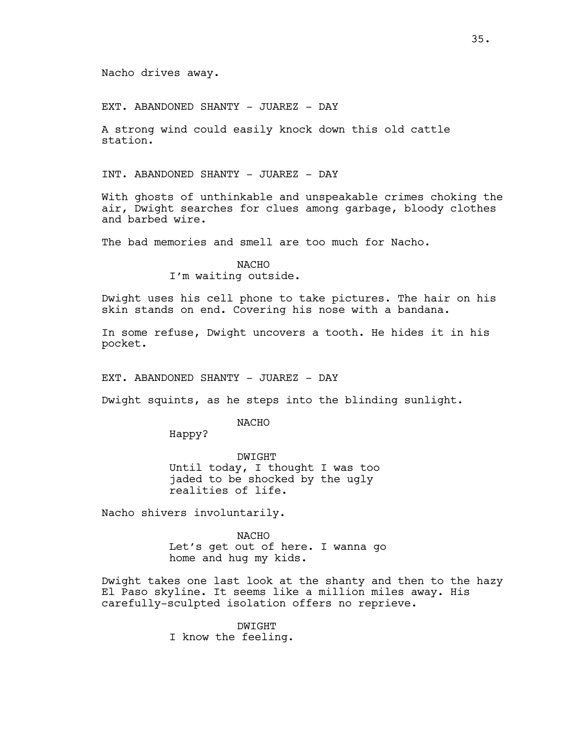Nacho drives away.

EXT. ABANDONED SHANTY - JUAREZ - DAY

A strong wind could easily knock down this old cattle station.

INT. ABANDONED SHANTY - JUAREZ - DAY

With ghosts of unthinkable and unspeakable crimes choking the air, Dwight searches for clues among garbage, bloody clothes and barbed wire.

The bad memories and smell are too much for Nacho.

NACHO I'm waiting outside.

Dwight uses his cell phone to take pictures. The hair on his skin stands on end. Covering his nose with a bandana.

In some refuse, Dwight uncovers a tooth. He hides it in his pocket.

EXT. ABANDONED SHANTY - JUAREZ - DAY

Dwight squints, as he steps into the blinding sunlight.

NACHO

Happy?

DWIGHT Until today, I thought I was too jaded to be shocked by the ugly realities of life.

Nacho shivers involuntarily.

NACHO Let's get out of here. I wanna go home and hug my kids.

Dwight takes one last look at the shanty and then to the hazy El Paso skyline. It seems like a million miles away. His carefully-sculpted isolation offers no reprieve.

> DWIGHT I know the feeling.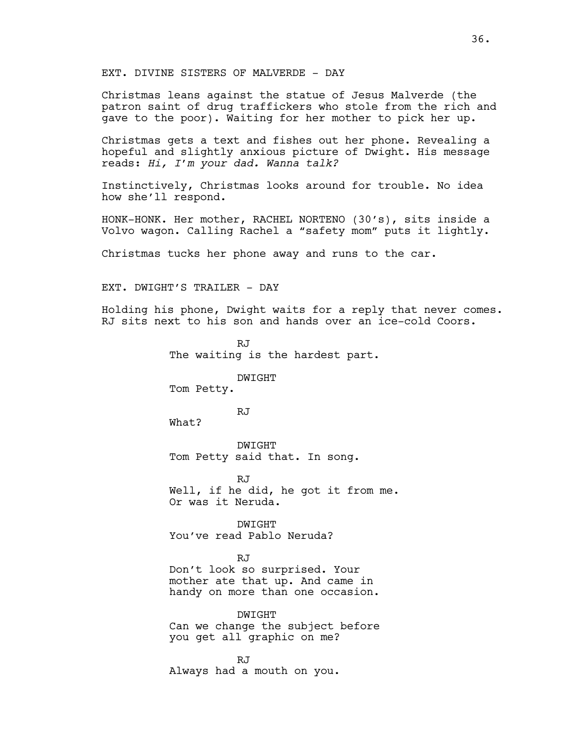EXT. DIVINE SISTERS OF MALVERDE - DAY

Christmas leans against the statue of Jesus Malverde (the patron saint of drug traffickers who stole from the rich and gave to the poor). Waiting for her mother to pick her up.

Christmas gets a text and fishes out her phone. Revealing a hopeful and slightly anxious picture of Dwight. His message reads: *Hi, I'm your dad. Wanna talk?* 

Instinctively, Christmas looks around for trouble. No idea how she'll respond.

HONK-HONK. Her mother, RACHEL NORTENO (30's), sits inside a Volvo wagon. Calling Rachel a "safety mom" puts it lightly.

Christmas tucks her phone away and runs to the car.

EXT. DWIGHT'S TRAILER - DAY

Holding his phone, Dwight waits for a reply that never comes. RJ sits next to his son and hands over an ice-cold Coors.

> R.T The waiting is the hardest part.

> > DWIGHT

Tom Petty.

RJ

What?

DWIGHT Tom Petty said that. In song.

RJ Well, if he did, he got it from me. Or was it Neruda.

DWIGHT You've read Pablo Neruda?

RJ

Don't look so surprised. Your mother ate that up. And came in handy on more than one occasion.

DWIGHT Can we change the subject before you get all graphic on me?

RJ Always had a mouth on you.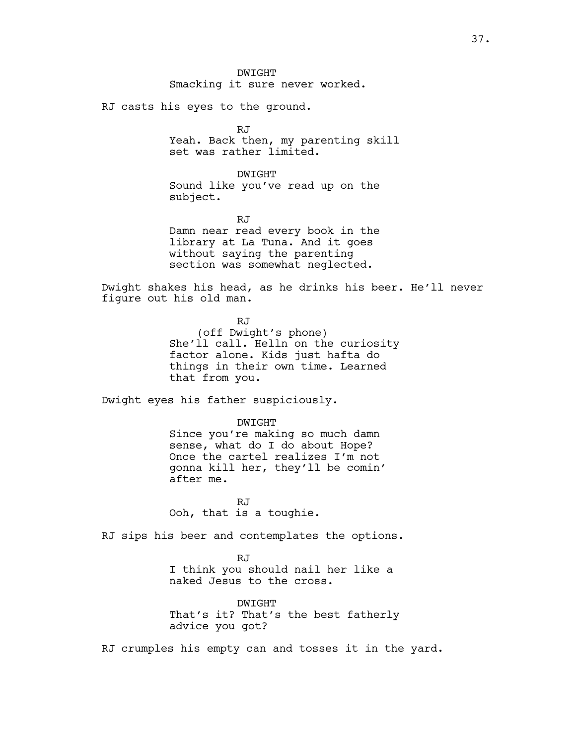DWIGHT Smacking it sure never worked.

RJ casts his eyes to the ground.

RJ Yeah. Back then, my parenting skill set was rather limited.

DWIGHT Sound like you've read up on the subject.

RJ Damn near read every book in the library at La Tuna. And it goes without saying the parenting section was somewhat neglected.

Dwight shakes his head, as he drinks his beer. He'll never figure out his old man.

> RJ (off Dwight's phone) She'll call. Helln on the curiosity factor alone. Kids just hafta do things in their own time. Learned that from you.

Dwight eyes his father suspiciously.

DWIGHT Since you're making so much damn sense, what do I do about Hope? Once the cartel realizes I'm not gonna kill her, they'll be comin' after me.

RJ Ooh, that is a toughie.

RJ sips his beer and contemplates the options.

RJ I think you should nail her like a naked Jesus to the cross.

DWIGHT That's it? That's the best fatherly advice you got?

RJ crumples his empty can and tosses it in the yard.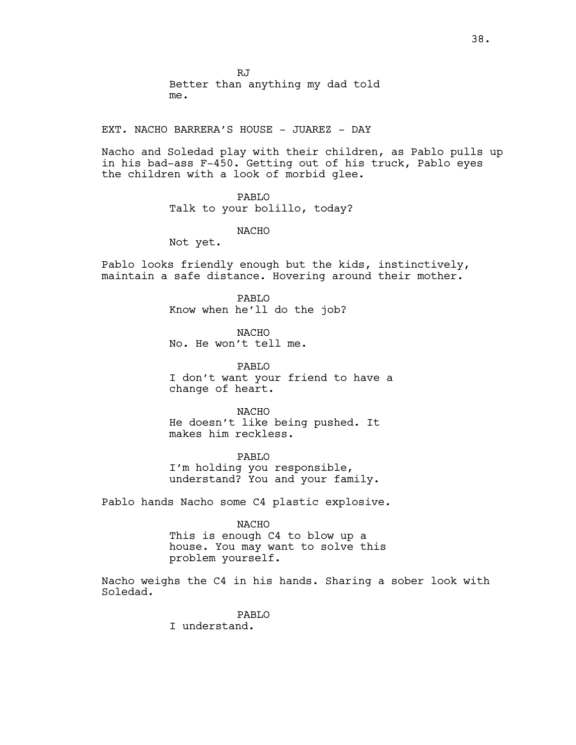RJ Better than anything my dad told me.

EXT. NACHO BARRERA'S HOUSE - JUAREZ - DAY

Nacho and Soledad play with their children, as Pablo pulls up in his bad-ass F-450. Getting out of his truck, Pablo eyes the children with a look of morbid glee.

# PABLO

Talk to your bolillo, today?

NACHO

Not yet.

Pablo looks friendly enough but the kids, instinctively, maintain a safe distance. Hovering around their mother.

> PABLO Know when he'll do the job?

NACHO No. He won't tell me.

PABLO I don't want your friend to have a change of heart.

NACHO He doesn't like being pushed. It makes him reckless.

PABLO I'm holding you responsible, understand? You and your family.

Pablo hands Nacho some C4 plastic explosive.

NACHO

This is enough C4 to blow up a house. You may want to solve this problem yourself.

Nacho weighs the C4 in his hands. Sharing a sober look with Soledad.

> PABLO I understand.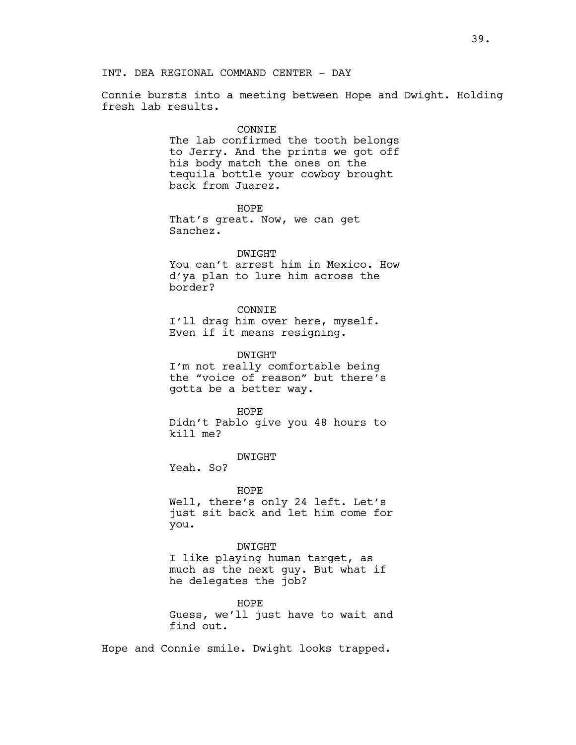INT. DEA REGIONAL COMMAND CENTER - DAY

Connie bursts into a meeting between Hope and Dwight. Holding fresh lab results.

#### CONNIE

The lab confirmed the tooth belongs to Jerry. And the prints we got off his body match the ones on the tequila bottle your cowboy brought back from Juarez.

HOPE That's great. Now, we can get Sanchez.

#### DWIGHT

You can't arrest him in Mexico. How d'ya plan to lure him across the border?

CONNIE

I'll drag him over here, myself. Even if it means resigning.

DWIGHT

I'm not really comfortable being the "voice of reason" but there's gotta be a better way.

HOPE Didn't Pablo give you 48 hours to kill me?

DWIGHT

Yeah. So?

HOPE Well, there's only 24 left. Let's just sit back and let him come for you.

DWIGHT I like playing human target, as much as the next guy. But what if he delegates the job?

HOPE Guess, we'll just have to wait and find out.

Hope and Connie smile. Dwight looks trapped.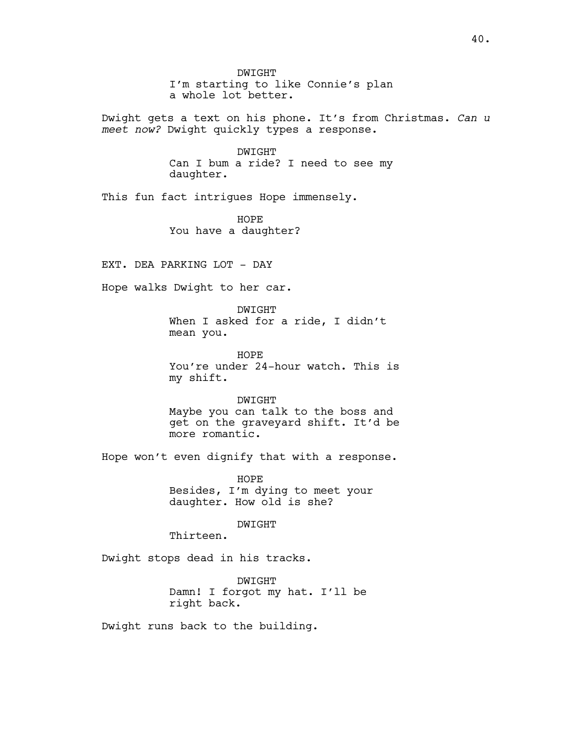DWIGHT I'm starting to like Connie's plan a whole lot better.

Dwight gets a text on his phone. It's from Christmas. *Can u meet now?* Dwight quickly types a response.

> DWIGHT Can I bum a ride? I need to see my daughter.

This fun fact intrigues Hope immensely.

HOPE You have a daughter?

EXT. DEA PARKING LOT - DAY

Hope walks Dwight to her car.

DWIGHT When I asked for a ride, I didn't mean you.

HOPE You're under 24-hour watch. This is my shift.

DWIGHT Maybe you can talk to the boss and get on the graveyard shift. It'd be

more romantic.

Hope won't even dignify that with a response.

HOPE Besides, I'm dying to meet your daughter. How old is she?

DWIGHT

Thirteen.

Dwight stops dead in his tracks.

DWIGHT Damn! I forgot my hat. I'll be right back.

Dwight runs back to the building.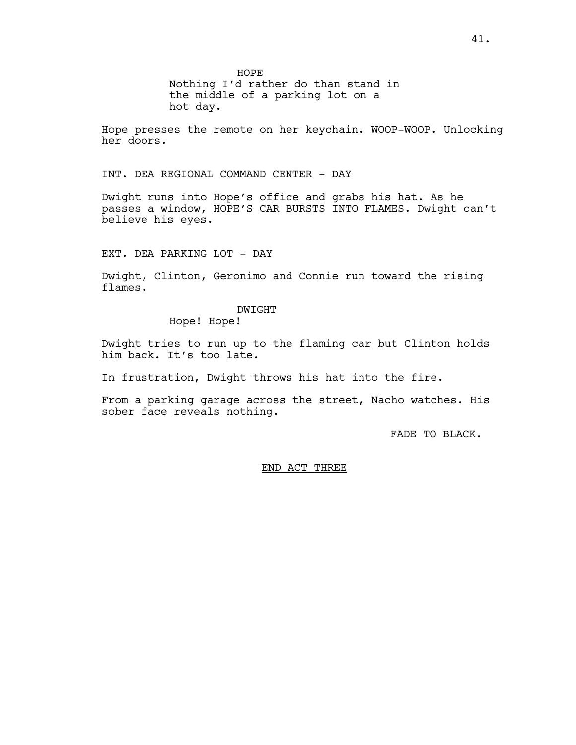HOPE

Nothing I'd rather do than stand in the middle of a parking lot on a hot day.

Hope presses the remote on her keychain. WOOP-WOOP. Unlocking her doors.

INT. DEA REGIONAL COMMAND CENTER - DAY

Dwight runs into Hope's office and grabs his hat. As he passes a window, HOPE'S CAR BURSTS INTO FLAMES. Dwight can't believe his eyes.

EXT. DEA PARKING LOT - DAY

Dwight, Clinton, Geronimo and Connie run toward the rising flames.

DWIGHT

Hope! Hope!

Dwight tries to run up to the flaming car but Clinton holds him back. It's too late.

In frustration, Dwight throws his hat into the fire.

From a parking garage across the street, Nacho watches. His sober face reveals nothing.

FADE TO BLACK.

# END ACT THREE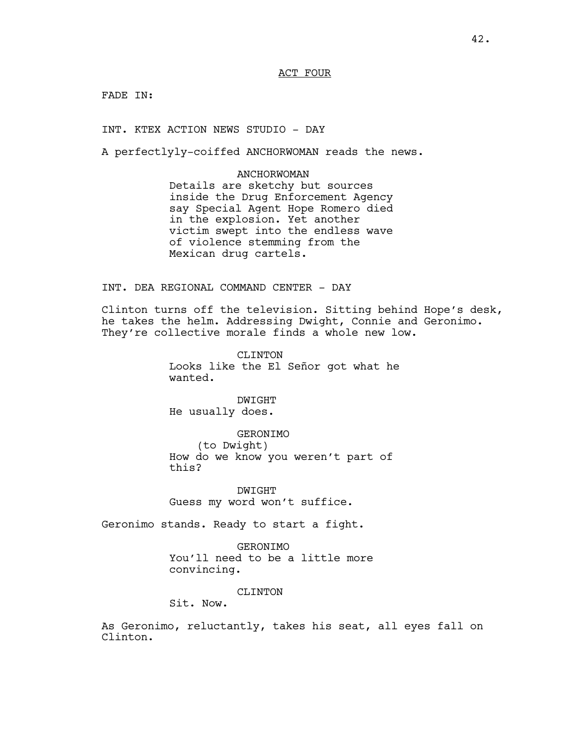FADE IN:

INT. KTEX ACTION NEWS STUDIO - DAY

A perfectlyly-coiffed ANCHORWOMAN reads the news.

ANCHORWOMAN Details are sketchy but sources inside the Drug Enforcement Agency say Special Agent Hope Romero died in the explosion. Yet another victim swept into the endless wave of violence stemming from the Mexican drug cartels.

INT. DEA REGIONAL COMMAND CENTER - DAY

Clinton turns off the television. Sitting behind Hope's desk, he takes the helm. Addressing Dwight, Connie and Geronimo. They're collective morale finds a whole new low.

> CLINTON Looks like the El Señor got what he wanted.

DWIGHT He usually does.

GERONIMO (to Dwight) How do we know you weren't part of this?

DWIGHT Guess my word won't suffice.

Geronimo stands. Ready to start a fight.

GERONIMO You'll need to be a little more convincing.

CLINTON

Sit. Now.

As Geronimo, reluctantly, takes his seat, all eyes fall on Clinton.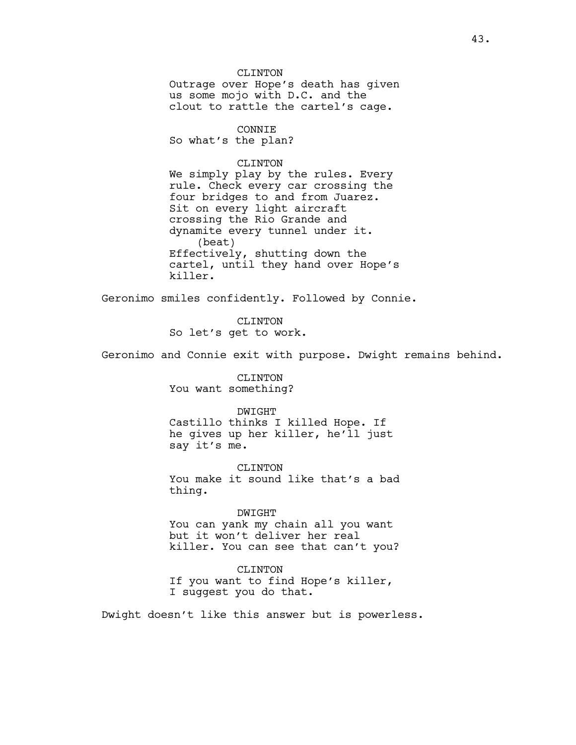CLINTON Outrage over Hope's death has given us some mojo with D.C. and the clout to rattle the cartel's cage.

### CONNIE

So what's the plan?

# CLINTON

We simply play by the rules. Every rule. Check every car crossing the four bridges to and from Juarez. Sit on every light aircraft crossing the Rio Grande and dynamite every tunnel under it. (beat) Effectively, shutting down the cartel, until they hand over Hope's killer.

Geronimo smiles confidently. Followed by Connie.

CLINTON So let's get to work.

Geronimo and Connie exit with purpose. Dwight remains behind.

CLINTON You want something?

#### DWIGHT

Castillo thinks I killed Hope. If he gives up her killer, he'll just say it's me.

CLINTON You make it sound like that's a bad thing.

#### DWIGHT

You can yank my chain all you want but it won't deliver her real killer. You can see that can't you?

#### CLINTON

If you want to find Hope's killer, I suggest you do that.

Dwight doesn't like this answer but is powerless.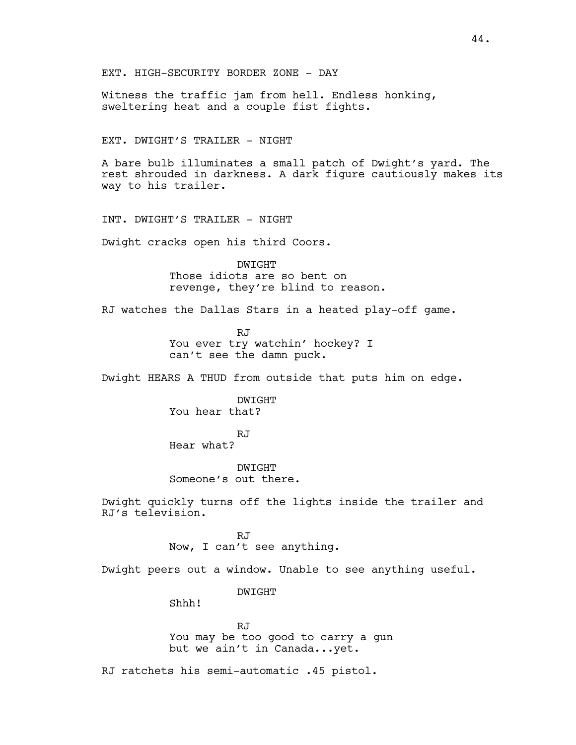Witness the traffic jam from hell. Endless honking, sweltering heat and a couple fist fights.

EXT. DWIGHT'S TRAILER - NIGHT

A bare bulb illuminates a small patch of Dwight's yard. The rest shrouded in darkness. A dark figure cautiously makes its way to his trailer.

INT. DWIGHT'S TRAILER - NIGHT

Dwight cracks open his third Coors.

DWIGHT Those idiots are so bent on revenge, they're blind to reason.

RJ watches the Dallas Stars in a heated play-off game.

RJ You ever try watchin' hockey? I can't see the damn puck.

Dwight HEARS A THUD from outside that puts him on edge.

DWIGHT You hear that?

RJ Hear what?

DWIGHT Someone's out there.

Dwight quickly turns off the lights inside the trailer and RJ's television.

RJ

Now, I can't see anything.

Dwight peers out a window. Unable to see anything useful.

DWIGHT

Shhh!

RJ You may be too good to carry a gun but we ain't in Canada...yet.

RJ ratchets his semi-automatic .45 pistol.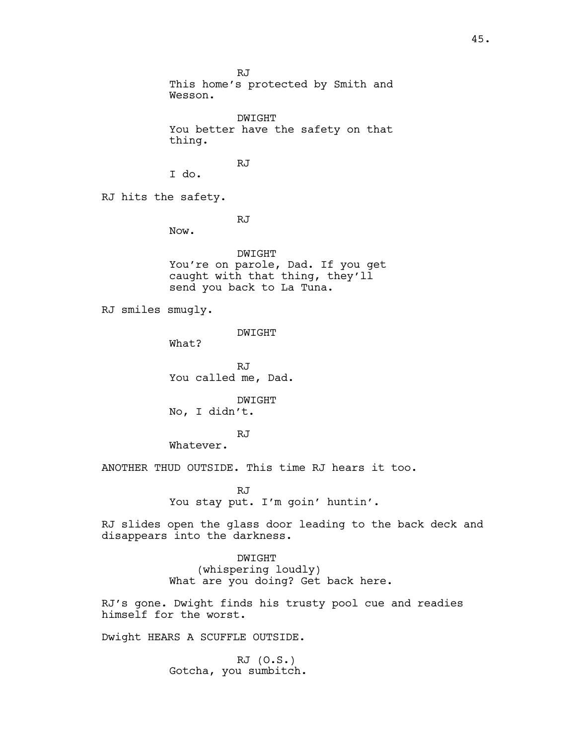RJ This home's protected by Smith and Wesson. DWIGHT You better have the safety on that thing. RJ I do. RJ hits the safety. RJ Now. DWIGHT You're on parole, Dad. If you get caught with that thing, they'll send you back to La Tuna. RJ smiles smugly. DWIGHT What? RJ You called me, Dad. DWIGHT No, I didn't. RJ Whatever. ANOTHER THUD OUTSIDE. This time RJ hears it too. RJ You stay put. I'm goin' huntin'. RJ slides open the glass door leading to the back deck and disappears into the darkness. DWIGHT (whispering loudly) What are you doing? Get back here.

RJ's gone. Dwight finds his trusty pool cue and readies himself for the worst.

Dwight HEARS A SCUFFLE OUTSIDE.

RJ (O.S.) Gotcha, you sumbitch.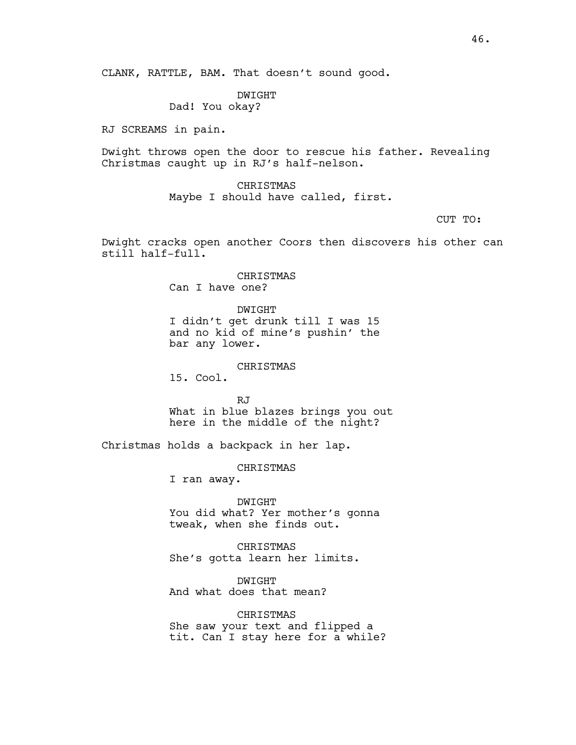# DWIGHT

Dad! You okay?

RJ SCREAMS in pain.

Dwight throws open the door to rescue his father. Revealing Christmas caught up in RJ's half-nelson.

> CHRISTMAS Maybe I should have called, first.

> > CUT TO:

Dwight cracks open another Coors then discovers his other can still half-full.

> CHRISTMAS Can I have one?

DWIGHT I didn't get drunk till I was 15 and no kid of mine's pushin' the bar any lower.

# CHRISTMAS

15. Cool.

RJ What in blue blazes brings you out here in the middle of the night?

Christmas holds a backpack in her lap.

CHRISTMAS

I ran away.

DWIGHT You did what? Yer mother's gonna tweak, when she finds out.

CHRISTMAS She's gotta learn her limits.

DWIGHT And what does that mean?

CHRISTMAS She saw your text and flipped a tit. Can I stay here for a while?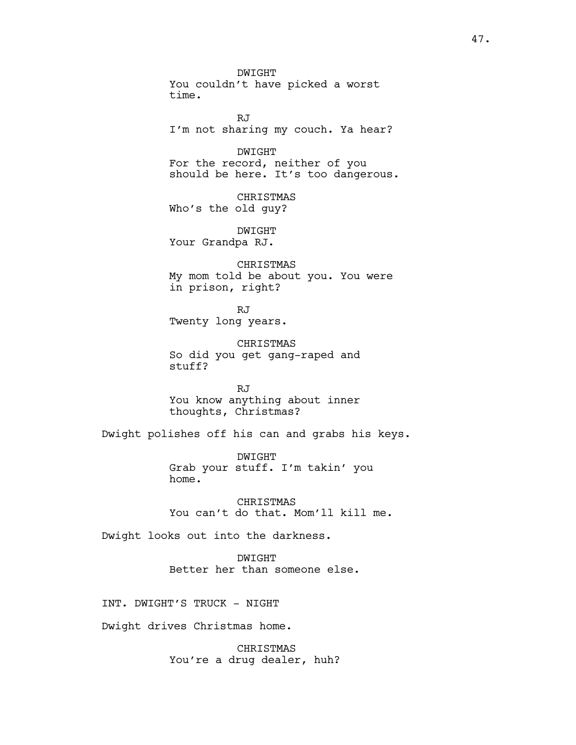DWIGHT You couldn't have picked a worst time.

RJ I'm not sharing my couch. Ya hear?

DWIGHT For the record, neither of you should be here. It's too dangerous.

CHRISTMAS Who's the old guy?

DWIGHT Your Grandpa RJ.

CHRISTMAS My mom told be about you. You were in prison, right?

RJ Twenty long years.

CHRISTMAS So did you get gang-raped and stuff?

RJ You know anything about inner thoughts, Christmas?

Dwight polishes off his can and grabs his keys.

DWIGHT Grab your stuff. I'm takin' you home.

CHRISTMAS You can't do that. Mom'll kill me.

Dwight looks out into the darkness.

DWIGHT Better her than someone else.

INT. DWIGHT'S TRUCK - NIGHT

Dwight drives Christmas home.

CHRISTMAS You're a drug dealer, huh?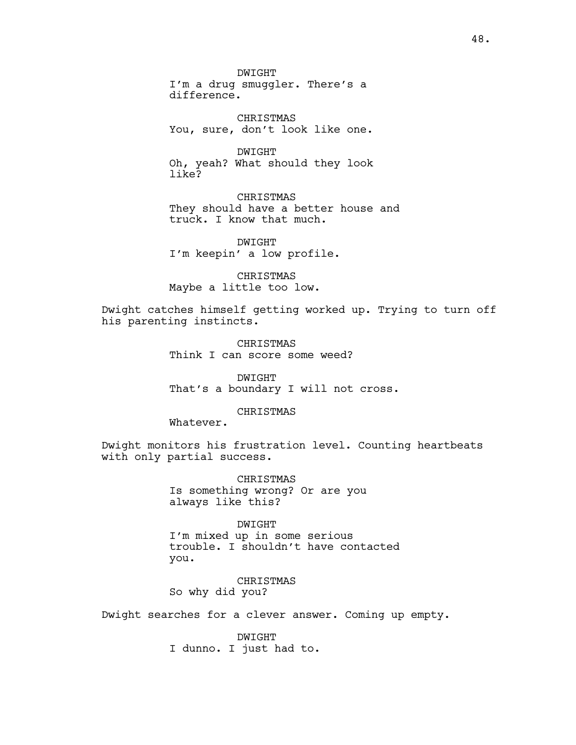DWIGHT

I'm a drug smuggler. There's a difference.

CHRISTMAS You, sure, don't look like one.

DWIGHT Oh, yeah? What should they look like?

CHRISTMAS They should have a better house and truck. I know that much.

DWIGHT I'm keepin' a low profile.

CHRISTMAS Maybe a little too low.

Dwight catches himself getting worked up. Trying to turn off his parenting instincts.

> CHRISTMAS Think I can score some weed?

DWIGHT That's a boundary I will not cross.

### CHRISTMAS

Whatever.

Dwight monitors his frustration level. Counting heartbeats with only partial success.

> CHRISTMAS Is something wrong? Or are you always like this?

DWIGHT I'm mixed up in some serious trouble. I shouldn't have contacted you.

CHRISTMAS So why did you?

Dwight searches for a clever answer. Coming up empty.

DWIGHT I dunno. I just had to.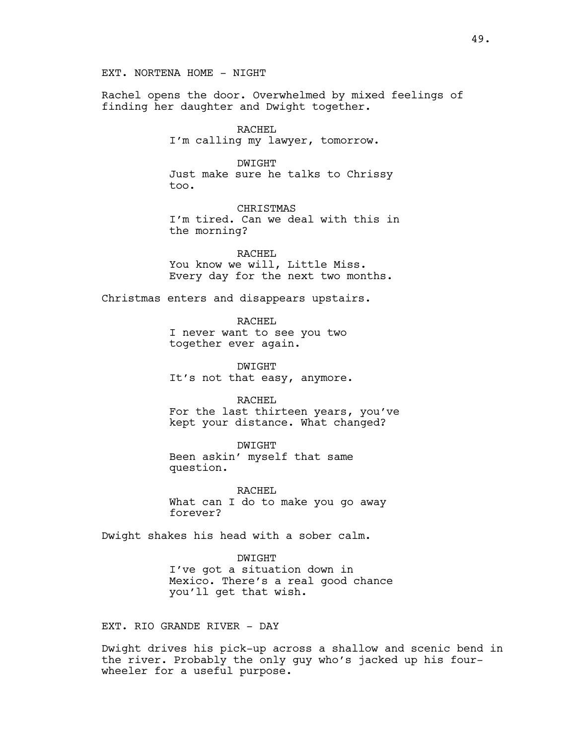EXT. NORTENA HOME - NIGHT

Rachel opens the door. Overwhelmed by mixed feelings of finding her daughter and Dwight together.

> RACHEL I'm calling my lawyer, tomorrow.

> > DWIGHT

Just make sure he talks to Chrissy too.

CHRISTMAS I'm tired. Can we deal with this in the morning?

RACHEL You know we will, Little Miss. Every day for the next two months.

Christmas enters and disappears upstairs.

RACHEL

I never want to see you two together ever again.

DWIGHT It's not that easy, anymore.

RACHEL For the last thirteen years, you've kept your distance. What changed?

DWIGHT Been askin' myself that same question.

RACHEL What can I do to make you go away forever?

Dwight shakes his head with a sober calm.

DWIGHT I've got a situation down in Mexico. There's a real good chance you'll get that wish.

EXT. RIO GRANDE RIVER - DAY

Dwight drives his pick-up across a shallow and scenic bend in the river. Probably the only guy who's jacked up his fourwheeler for a useful purpose.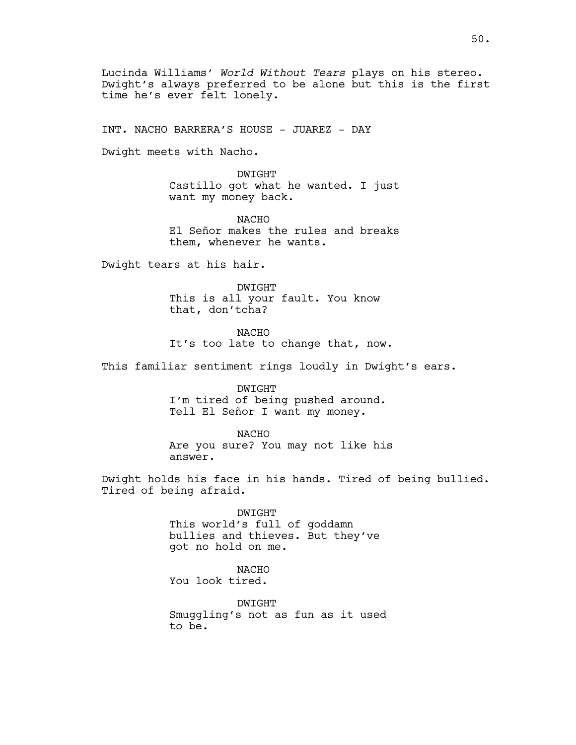Lucinda Williams' *World Without Tears* plays on his stereo. Dwight's always preferred to be alone but this is the first time he's ever felt lonely.

INT. NACHO BARRERA'S HOUSE - JUAREZ - DAY

Dwight meets with Nacho.

DWIGHT Castillo got what he wanted. I just want my money back.

NACHO El Señor makes the rules and breaks them, whenever he wants.

Dwight tears at his hair.

DWIGHT This is all your fault. You know that, don'tcha?

NACHO It's too late to change that, now.

This familiar sentiment rings loudly in Dwight's ears.

DWIGHT I'm tired of being pushed around. Tell El Señor I want my money.

NACHO

Are you sure? You may not like his answer.

Dwight holds his face in his hands. Tired of being bullied. Tired of being afraid.

> DWIGHT This world's full of goddamn bullies and thieves. But they've got no hold on me.

> > **NACHO**

You look tired.

DWIGHT Smuggling's not as fun as it used to be.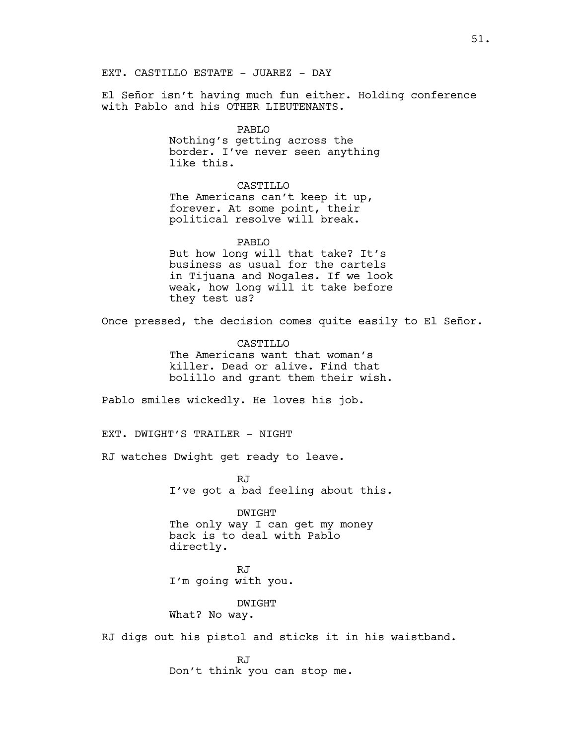El Señor isn't having much fun either. Holding conference with Pablo and his OTHER LIEUTENANTS.

> PABLO Nothing's getting across the border. I've never seen anything like this.

CASTILLO The Americans can't keep it up, forever. At some point, their political resolve will break.

PABLO But how long will that take? It's business as usual for the cartels in Tijuana and Nogales. If we look weak, how long will it take before they test us?

Once pressed, the decision comes quite easily to El Señor.

**CASTILLO** The Americans want that woman's killer. Dead or alive. Find that bolillo and grant them their wish.

Pablo smiles wickedly. He loves his job.

EXT. DWIGHT'S TRAILER - NIGHT

RJ watches Dwight get ready to leave.

RJ I've got a bad feeling about this.

DWIGHT The only way I can get my money back is to deal with Pablo directly.

RJ I'm going with you.

DWIGHT What? No way.

RJ digs out his pistol and sticks it in his waistband.

RJ Don't think you can stop me.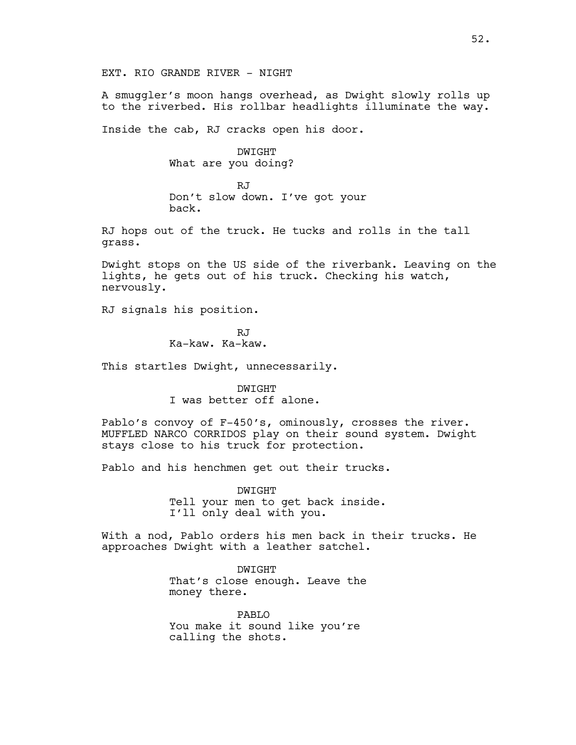A smuggler's moon hangs overhead, as Dwight slowly rolls up to the riverbed. His rollbar headlights illuminate the way.

Inside the cab, RJ cracks open his door.

DWIGHT What are you doing?

RJ Don't slow down. I've got your back.

RJ hops out of the truck. He tucks and rolls in the tall grass.

Dwight stops on the US side of the riverbank. Leaving on the lights, he gets out of his truck. Checking his watch, nervously.

RJ signals his position.

RJ Ka-kaw. Ka-kaw.

This startles Dwight, unnecessarily.

DWIGHT I was better off alone.

Pablo's convoy of F-450's, ominously, crosses the river. MUFFLED NARCO CORRIDOS play on their sound system. Dwight stays close to his truck for protection.

Pablo and his henchmen get out their trucks.

DWIGHT Tell your men to get back inside. I'll only deal with you.

With a nod, Pablo orders his men back in their trucks. He approaches Dwight with a leather satchel.

> DWIGHT That's close enough. Leave the money there.

PABLO You make it sound like you're calling the shots.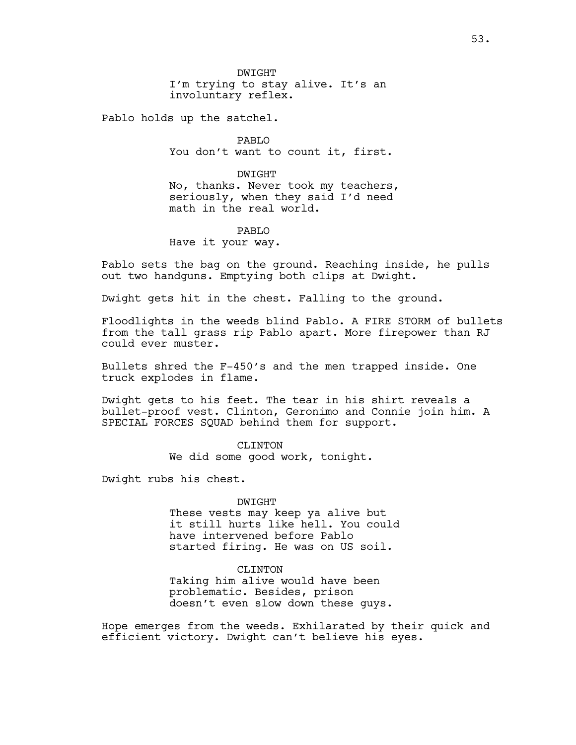Pablo holds up the satchel.

PABLO You don't want to count it, first.

DWIGHT No, thanks. Never took my teachers, seriously, when they said I'd need math in the real world.

PABLO Have it your way.

Pablo sets the bag on the ground. Reaching inside, he pulls out two handguns. Emptying both clips at Dwight.

Dwight gets hit in the chest. Falling to the ground.

Floodlights in the weeds blind Pablo. A FIRE STORM of bullets from the tall grass rip Pablo apart. More firepower than RJ could ever muster.

Bullets shred the F-450's and the men trapped inside. One truck explodes in flame.

Dwight gets to his feet. The tear in his shirt reveals a bullet-proof vest. Clinton, Geronimo and Connie join him. A SPECIAL FORCES SQUAD behind them for support.

> CLINTON We did some good work, tonight.

Dwight rubs his chest.

# DWIGHT

These vests may keep ya alive but it still hurts like hell. You could have intervened before Pablo started firing. He was on US soil.

# CLINTON

Taking him alive would have been problematic. Besides, prison doesn't even slow down these guys.

Hope emerges from the weeds. Exhilarated by their quick and efficient victory. Dwight can't believe his eyes.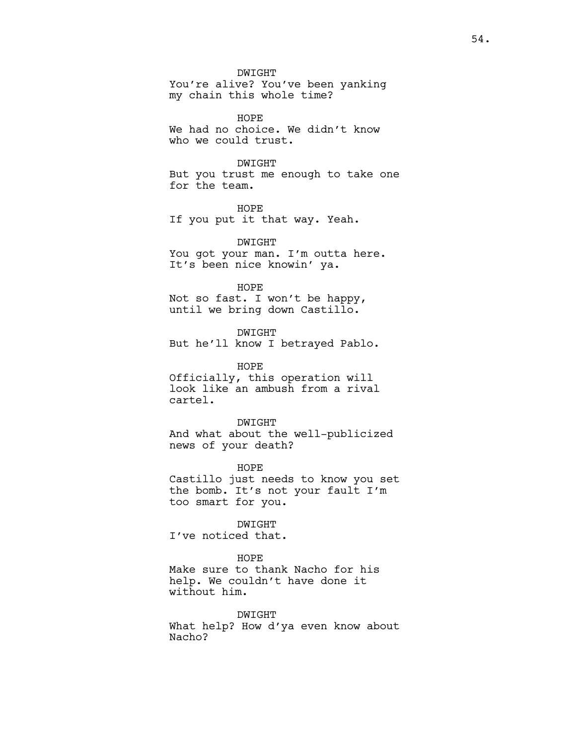DWIGHT

You're alive? You've been yanking my chain this whole time?

HOPE We had no choice. We didn't know who we could trust.

# DWIGHT

But you trust me enough to take one for the team.

HOPE If you put it that way. Yeah.

DWIGHT You got your man. I'm outta here. It's been nice knowin' ya.

#### HOPE

Not so fast. I won't be happy, until we bring down Castillo.

#### DWIGHT

But he'll know I betrayed Pablo.

#### HOPE

Officially, this operation will look like an ambush from a rival cartel.

DWIGHT

And what about the well-publicized news of your death?

HOPE Castillo just needs to know you set the bomb. It's not your fault I'm too smart for you.

# DWIGHT

I've noticed that.

# HOPE

Make sure to thank Nacho for his help. We couldn't have done it without him.

## DWIGHT

What help? How d'ya even know about Nacho?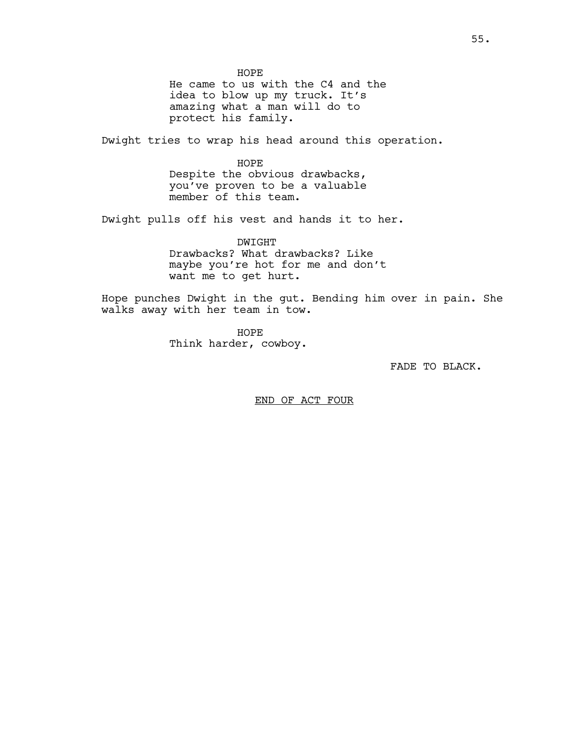HOPE He came to us with the C4 and the idea to blow up my truck. It's amazing what a man will do to protect his family.

Dwight tries to wrap his head around this operation.

HOPE Despite the obvious drawbacks, you've proven to be a valuable member of this team.

Dwight pulls off his vest and hands it to her.

DWIGHT Drawbacks? What drawbacks? Like maybe you're hot for me and don't want me to get hurt.

Hope punches Dwight in the gut. Bending him over in pain. She walks away with her team in tow.

> HOPE Think harder, cowboy.

> > FADE TO BLACK.

END OF ACT FOUR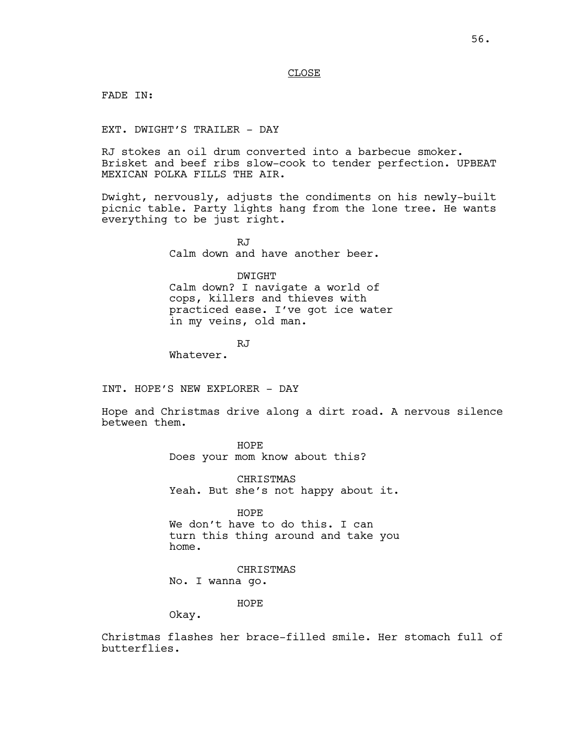### CLOSE

FADE IN:

EXT. DWIGHT'S TRAILER - DAY

RJ stokes an oil drum converted into a barbecue smoker. Brisket and beef ribs slow-cook to tender perfection. UPBEAT MEXICAN POLKA FILLS THE AIR.

Dwight, nervously, adjusts the condiments on his newly-built picnic table. Party lights hang from the lone tree. He wants everything to be just right.

> RJ Calm down and have another beer.

> > DWIGHT

Calm down? I navigate a world of cops, killers and thieves with practiced ease. I've got ice water in my veins, old man.

RJ

Whatever.

INT. HOPE'S NEW EXPLORER - DAY

Hope and Christmas drive along a dirt road. A nervous silence between them.

HOPE

Does your mom know about this?

CHRISTMAS Yeah. But she's not happy about it.

HOPE

We don't have to do this. I can turn this thing around and take you home.

CHRISTMAS No. I wanna go.

HOPE

Okay.

Christmas flashes her brace-filled smile. Her stomach full of butterflies.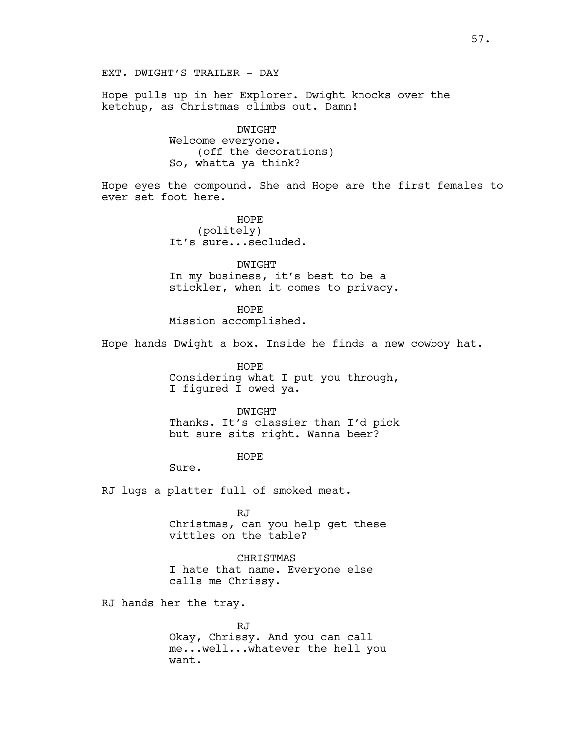EXT. DWIGHT'S TRAILER - DAY

Hope pulls up in her Explorer. Dwight knocks over the ketchup, as Christmas climbs out. Damn!

> DWIGHT Welcome everyone. (off the decorations) So, whatta ya think?

Hope eyes the compound. She and Hope are the first females to ever set foot here.

> HOPE (politely) It's sure...secluded.

DWIGHT In my business, it's best to be a stickler, when it comes to privacy.

HOPE Mission accomplished.

Hope hands Dwight a box. Inside he finds a new cowboy hat.

HOPE Considering what I put you through, I figured I owed ya.

DWIGHT Thanks. It's classier than I'd pick but sure sits right. Wanna beer?

HOPE

Sure.

RJ lugs a platter full of smoked meat.

RJ Christmas, can you help get these vittles on the table?

CHRISTMAS I hate that name. Everyone else calls me Chrissy.

RJ hands her the tray.

RJ Okay, Chrissy. And you can call me...well...whatever the hell you want.